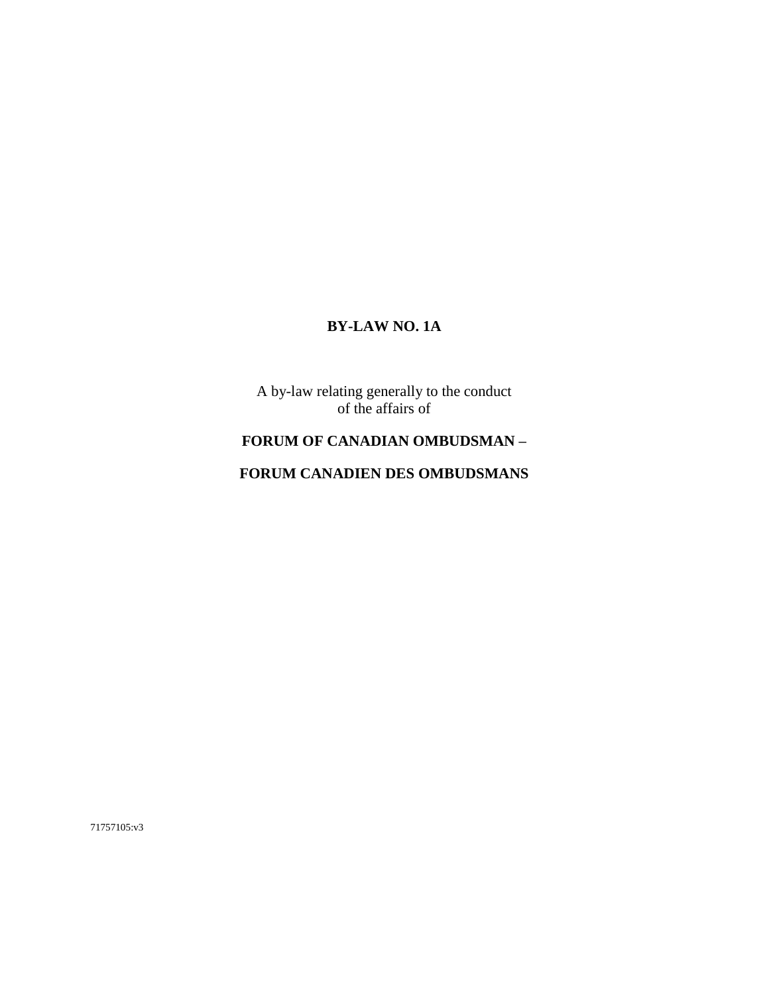# **BY-LAW NO. 1A**

A by-law relating generally to the conduct of the affairs of

# **FORUM OF CANADIAN OMBUDSMAN –**

# **FORUM CANADIEN DES OMBUDSMANS**

71757105:v3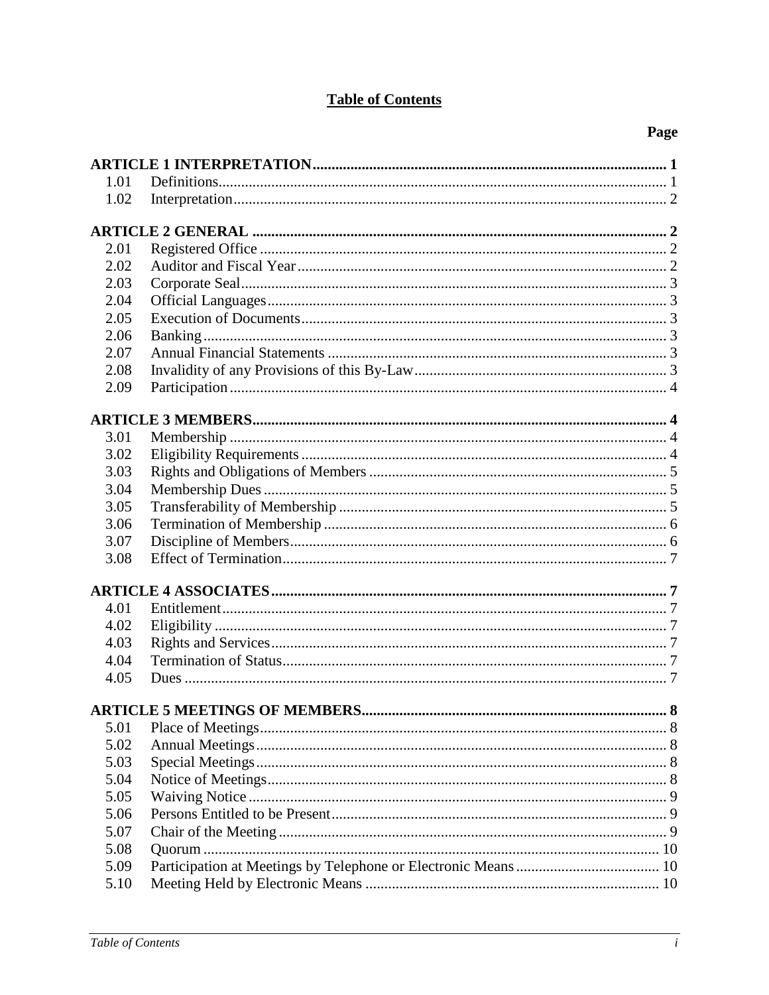# **Table of Contents**

| 1.01         |   |  |
|--------------|---|--|
| 1.02         |   |  |
|              |   |  |
|              |   |  |
| 2.01         |   |  |
| 2.02         |   |  |
| 2.03         |   |  |
| 2.04         |   |  |
| 2.05         |   |  |
| 2.06         |   |  |
| 2.07         |   |  |
| 2.08         |   |  |
| 2.09         |   |  |
|              |   |  |
|              |   |  |
| 3.01         |   |  |
| 3.02         |   |  |
| 3.03         |   |  |
| 3.04         |   |  |
| 3.05         |   |  |
| 3.06         |   |  |
| 3.07         |   |  |
| 3.08         |   |  |
|              |   |  |
| 4.01         |   |  |
| 4.02         |   |  |
|              |   |  |
| 4.03<br>4.04 |   |  |
|              |   |  |
| 4.05         |   |  |
|              | 8 |  |
| 5.01         |   |  |
| 5.02         |   |  |
| 5.03         |   |  |
| 5.04         |   |  |
| 5.05         |   |  |
| 5.06         |   |  |
| 5.07         |   |  |
| 5.08         |   |  |
| 5.09         |   |  |
| 5.10         |   |  |
|              |   |  |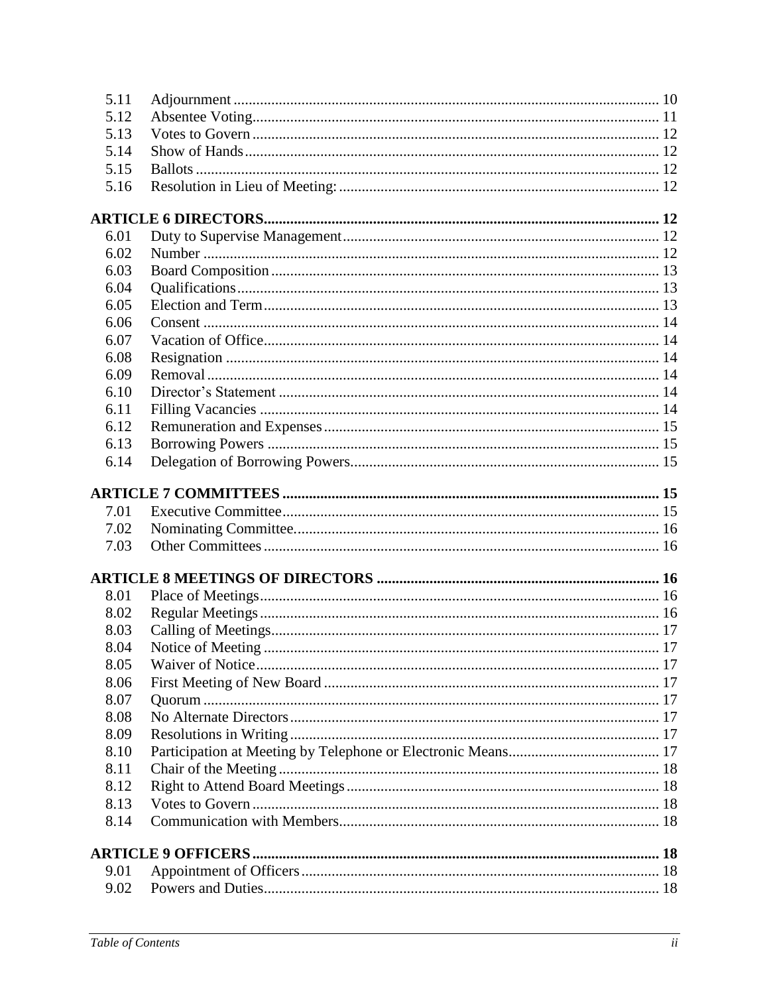| 5.11 |  |
|------|--|
| 5.12 |  |
| 5.13 |  |
| 5.14 |  |
| 5.15 |  |
| 5.16 |  |
|      |  |
| 6.01 |  |
| 6.02 |  |
| 6.03 |  |
| 6.04 |  |
| 6.05 |  |
| 6.06 |  |
| 6.07 |  |
| 6.08 |  |
| 6.09 |  |
| 6.10 |  |
| 6.11 |  |
| 6.12 |  |
| 6.13 |  |
| 6.14 |  |
|      |  |
| 7.01 |  |
| 7.02 |  |
| 7.03 |  |
|      |  |
| 8.01 |  |
| 8.02 |  |
| 8.03 |  |
| 8.04 |  |
| 8.05 |  |
| 8.06 |  |
| 8.07 |  |
| 8.08 |  |
| 8.09 |  |
| 8.10 |  |
| 8.11 |  |
| 8.12 |  |
| 8.13 |  |
| 8.14 |  |
|      |  |
| 9.01 |  |
| 9.02 |  |
|      |  |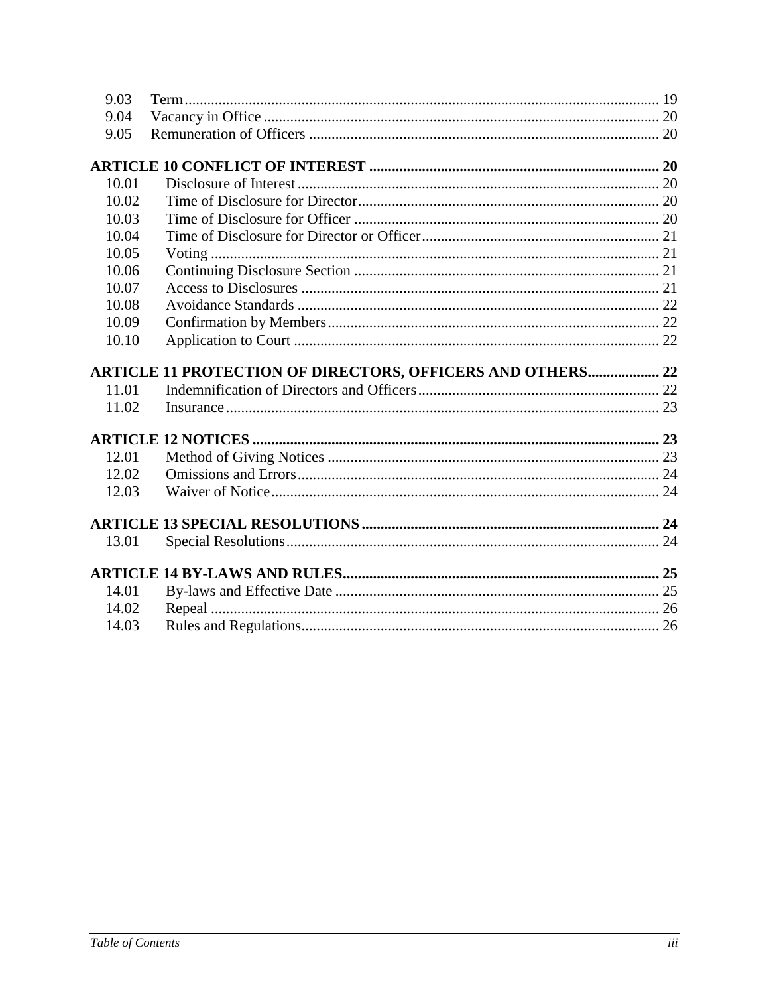| 9.03           |                                                            |  |
|----------------|------------------------------------------------------------|--|
| 9.04           |                                                            |  |
| 9.05           |                                                            |  |
|                |                                                            |  |
| 10.01          |                                                            |  |
| 10.02          |                                                            |  |
| 10.03          |                                                            |  |
| 10.04          |                                                            |  |
| 10.05          |                                                            |  |
| 10.06          |                                                            |  |
| 10.07          |                                                            |  |
| 10.08          |                                                            |  |
| 10.09          |                                                            |  |
| 10.10          |                                                            |  |
|                |                                                            |  |
|                |                                                            |  |
|                | ARTICLE 11 PROTECTION OF DIRECTORS, OFFICERS AND OTHERS 22 |  |
| 11.01          |                                                            |  |
| 11.02          |                                                            |  |
|                |                                                            |  |
|                |                                                            |  |
| 12.01          |                                                            |  |
| 12.02          |                                                            |  |
| 12.03          |                                                            |  |
|                |                                                            |  |
| 13.01          |                                                            |  |
|                |                                                            |  |
|                |                                                            |  |
| 14.01          |                                                            |  |
| 14.02<br>14.03 |                                                            |  |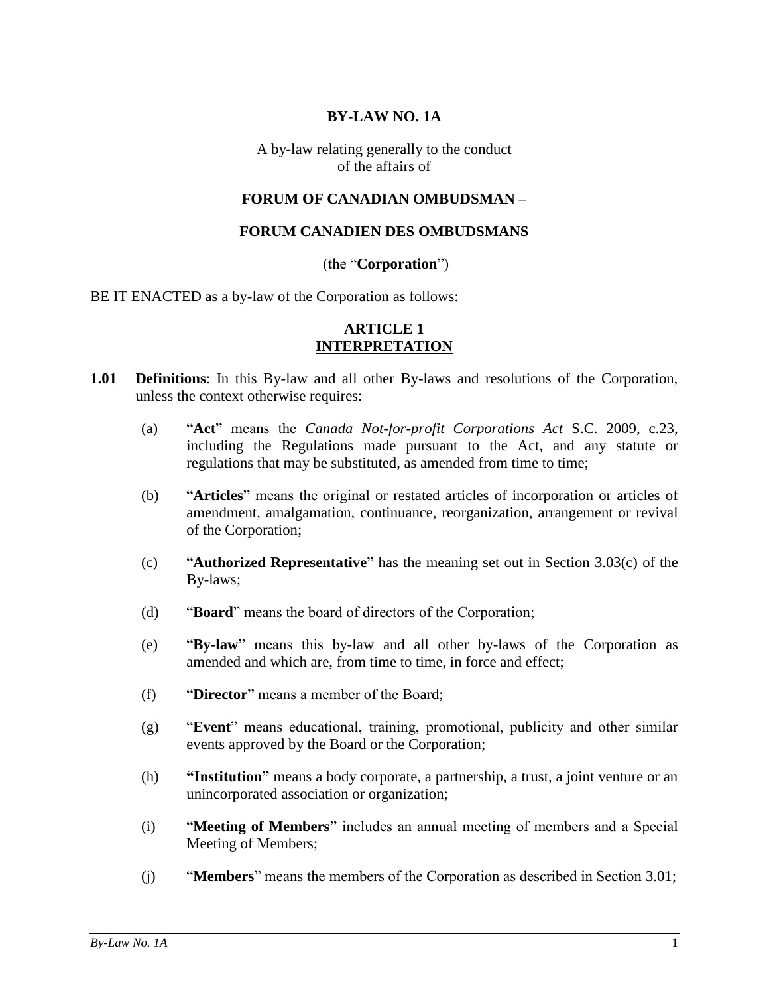## **BY-LAW NO. 1A**

A by-law relating generally to the conduct of the affairs of

#### **FORUM OF CANADIAN OMBUDSMAN –**

#### **FORUM CANADIEN DES OMBUDSMANS**

#### (the "**Corporation**")

BE IT ENACTED as a by-law of the Corporation as follows:

## **ARTICLE 1 INTERPRETATION**

- <span id="page-4-1"></span><span id="page-4-0"></span>**1.01 Definitions**: In this By-law and all other By-laws and resolutions of the Corporation, unless the context otherwise requires:
	- (a) "**Act**" means the *Canada Not-for-profit Corporations Act* S.C. 2009, c.23, including the Regulations made pursuant to the Act, and any statute or regulations that may be substituted, as amended from time to time;
	- (b) "**Articles**" means the original or restated articles of incorporation or articles of amendment, amalgamation, continuance, reorganization, arrangement or revival of the Corporation;
	- (c) "**Authorized Representative**" has the meaning set out in Section [3.03\(c\)](#page-8-3) of the By-laws;
	- (d) "**Board**" means the board of directors of the Corporation;
	- (e) "**By-law**" means this by-law and all other by-laws of the Corporation as amended and which are, from time to time, in force and effect;
	- (f) "**Director**" means a member of the Board;
	- (g) "**Event**" means educational, training, promotional, publicity and other similar events approved by the Board or the Corporation;
	- (h) **"Institution"** means a body corporate, a partnership, a trust, a joint venture or an unincorporated association or organization;
	- (i) "**Meeting of Members**" includes an annual meeting of members and a Special Meeting of Members;
	- (j) "**Members**" means the members of the Corporation as described in Section [3.01;](#page-7-2)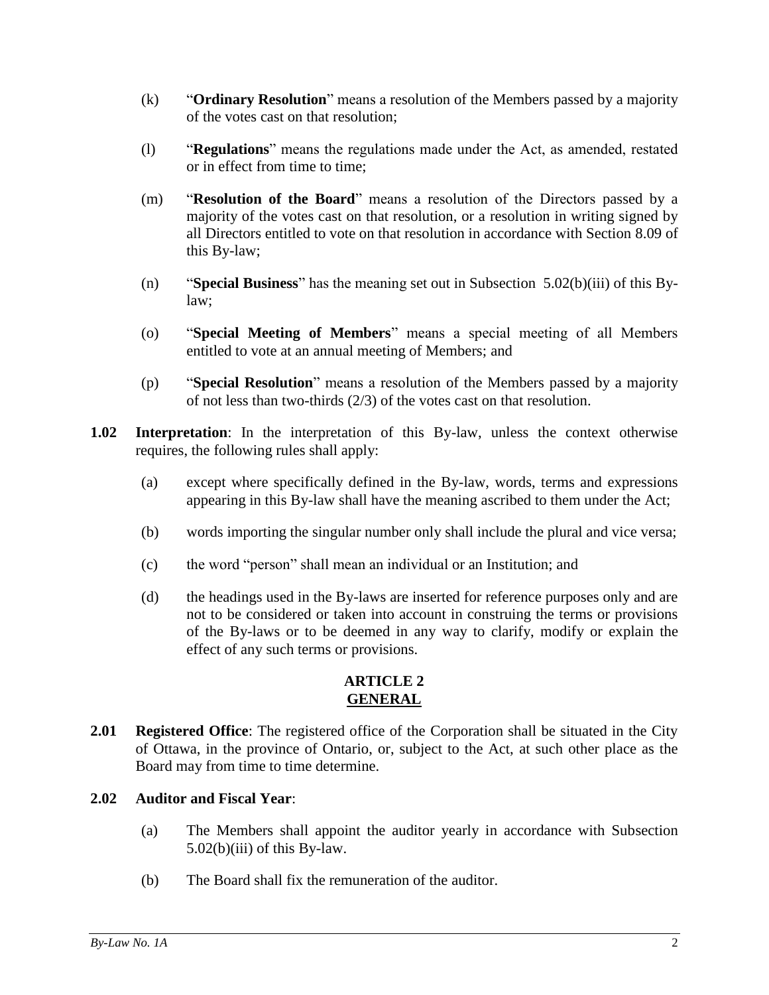- (k) "**Ordinary Resolution**" means a resolution of the Members passed by a majority of the votes cast on that resolution;
- (l) "**Regulations**" means the regulations made under the Act, as amended, restated or in effect from time to time;
- (m) "**Resolution of the Board**" means a resolution of the Directors passed by a majority of the votes cast on that resolution, or a resolution in writing signed by all Directors entitled to vote on that resolution in accordance with Section [8.09](#page-20-6) of this By-law;
- (n) "**Special Business**" has the meaning set out in Subsection [5.02\(b\)\(iii\)](#page-11-5) of this Bylaw;
- (o) "**Special Meeting of Members**" means a special meeting of all Members entitled to vote at an annual meeting of Members; and
- (p) "**Special Resolution**" means a resolution of the Members passed by a majority of not less than two-thirds (2/3) of the votes cast on that resolution.
- <span id="page-5-0"></span>**1.02 Interpretation**: In the interpretation of this By-law, unless the context otherwise requires, the following rules shall apply:
	- (a) except where specifically defined in the By-law, words, terms and expressions appearing in this By-law shall have the meaning ascribed to them under the Act;
	- (b) words importing the singular number only shall include the plural and vice versa;
	- (c) the word "person" shall mean an individual or an Institution; and
	- (d) the headings used in the By-laws are inserted for reference purposes only and are not to be considered or taken into account in construing the terms or provisions of the By-laws or to be deemed in any way to clarify, modify or explain the effect of any such terms or provisions.

## **ARTICLE 2 GENERAL**

<span id="page-5-2"></span><span id="page-5-1"></span>**2.01 Registered Office**: The registered office of the Corporation shall be situated in the City of Ottawa, in the province of Ontario, or, subject to the Act, at such other place as the Board may from time to time determine.

# <span id="page-5-3"></span>**2.02 Auditor and Fiscal Year**:

- (a) The Members shall appoint the auditor yearly in accordance with Subsection  $5.02(b)(iii)$  of this By-law.
- (b) The Board shall fix the remuneration of the auditor.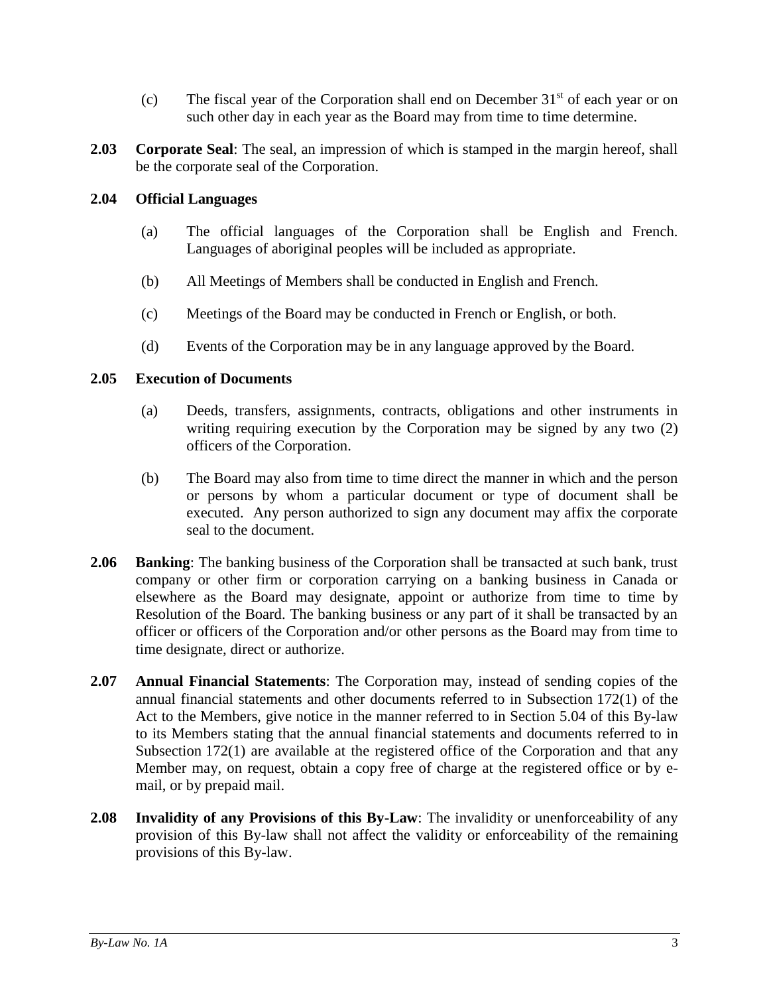- (c) The fiscal year of the Corporation shall end on December  $31<sup>st</sup>$  of each year or on such other day in each year as the Board may from time to time determine.
- <span id="page-6-0"></span>**2.03 Corporate Seal**: The seal, an impression of which is stamped in the margin hereof, shall be the corporate seal of the Corporation.

## <span id="page-6-1"></span>**2.04 Official Languages**

- (a) The official languages of the Corporation shall be English and French. Languages of aboriginal peoples will be included as appropriate.
- (b) All Meetings of Members shall be conducted in English and French.
- (c) Meetings of the Board may be conducted in French or English, or both.
- (d) Events of the Corporation may be in any language approved by the Board.

#### <span id="page-6-2"></span>**2.05 Execution of Documents**

- (a) Deeds, transfers, assignments, contracts, obligations and other instruments in writing requiring execution by the Corporation may be signed by any two (2) officers of the Corporation.
- (b) The Board may also from time to time direct the manner in which and the person or persons by whom a particular document or type of document shall be executed. Any person authorized to sign any document may affix the corporate seal to the document.
- <span id="page-6-3"></span>**2.06 Banking**: The banking business of the Corporation shall be transacted at such bank, trust company or other firm or corporation carrying on a banking business in Canada or elsewhere as the Board may designate, appoint or authorize from time to time by Resolution of the Board. The banking business or any part of it shall be transacted by an officer or officers of the Corporation and/or other persons as the Board may from time to time designate, direct or authorize.
- <span id="page-6-4"></span>**2.07 Annual Financial Statements**: The Corporation may, instead of sending copies of the annual financial statements and other documents referred to in Subsection 172(1) of the Act to the Members, give notice in the manner referred to in Section [5.04](#page-11-4) of this By-law to its Members stating that the annual financial statements and documents referred to in Subsection 172(1) are available at the registered office of the Corporation and that any Member may, on request, obtain a copy free of charge at the registered office or by email, or by prepaid mail.
- <span id="page-6-5"></span>**2.08 Invalidity of any Provisions of this By-Law**: The invalidity or unenforceability of any provision of this By-law shall not affect the validity or enforceability of the remaining provisions of this By-law.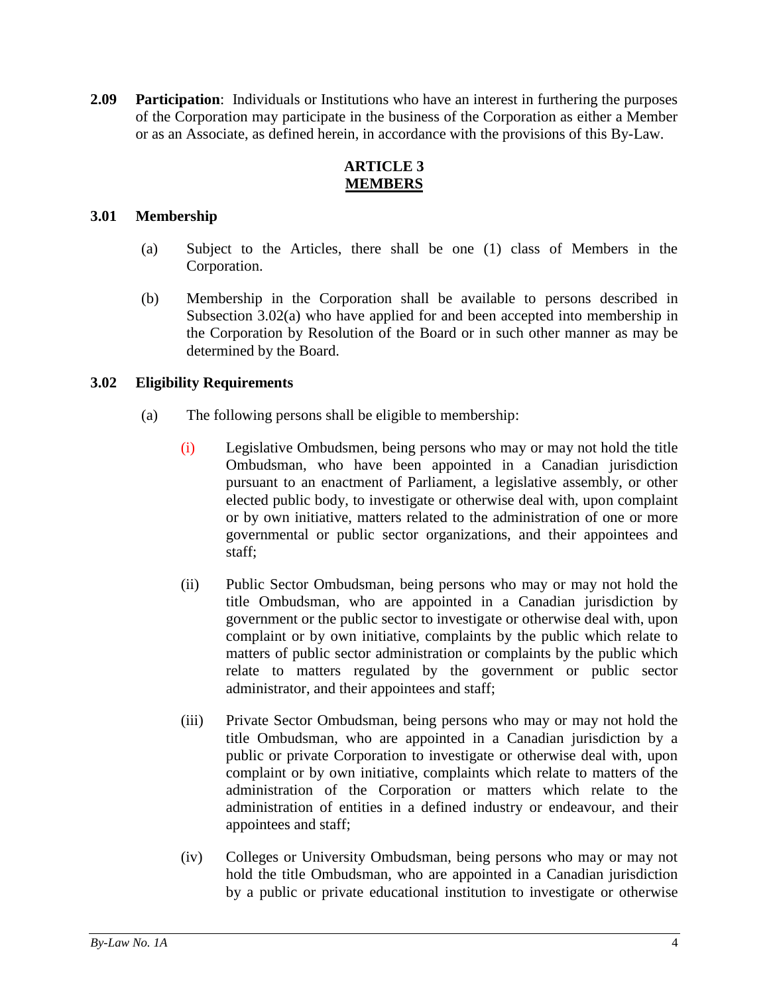<span id="page-7-0"></span>**2.09 Participation**: Individuals or Institutions who have an interest in furthering the purposes of the Corporation may participate in the business of the Corporation as either a Member or as an Associate, as defined herein, in accordance with the provisions of this By-Law.

# **ARTICLE 3 MEMBERS**

# <span id="page-7-2"></span><span id="page-7-1"></span>**3.01 Membership**

- (a) Subject to the Articles, there shall be one (1) class of Members in the Corporation.
- (b) Membership in the Corporation shall be available to persons described in Subsection 3.02(a) who have applied for and been accepted into membership in the Corporation by Resolution of the Board or in such other manner as may be determined by the Board.

# <span id="page-7-3"></span>**3.02 Eligibility Requirements**

- <span id="page-7-5"></span><span id="page-7-4"></span>(a) The following persons shall be eligible to membership:
	- (i) Legislative Ombudsmen, being persons who may or may not hold the title Ombudsman, who have been appointed in a Canadian jurisdiction pursuant to an enactment of Parliament, a legislative assembly, or other elected public body, to investigate or otherwise deal with, upon complaint or by own initiative, matters related to the administration of one or more governmental or public sector organizations, and their appointees and staff;
	- (ii) Public Sector Ombudsman, being persons who may or may not hold the title Ombudsman, who are appointed in a Canadian jurisdiction by government or the public sector to investigate or otherwise deal with, upon complaint or by own initiative, complaints by the public which relate to matters of public sector administration or complaints by the public which relate to matters regulated by the government or public sector administrator, and their appointees and staff;
	- (iii) Private Sector Ombudsman, being persons who may or may not hold the title Ombudsman, who are appointed in a Canadian jurisdiction by a public or private Corporation to investigate or otherwise deal with, upon complaint or by own initiative, complaints which relate to matters of the administration of the Corporation or matters which relate to the administration of entities in a defined industry or endeavour, and their appointees and staff;
	- (iv) Colleges or University Ombudsman, being persons who may or may not hold the title Ombudsman, who are appointed in a Canadian jurisdiction by a public or private educational institution to investigate or otherwise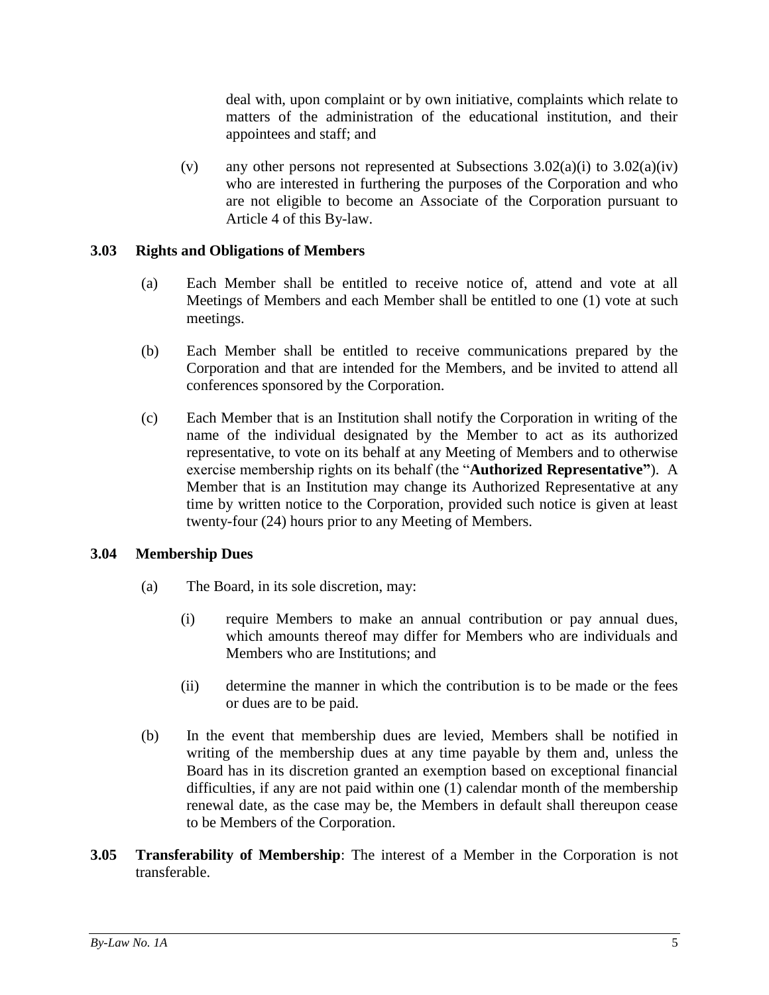deal with, upon complaint or by own initiative, complaints which relate to matters of the administration of the educational institution, and their appointees and staff; and

(v) any other persons not represented at Subsections  $3.02(a)(i)$  to  $3.02(a)(iv)$ who are interested in furthering the purposes of the Corporation and who are not eligible to become an Associate of the Corporation pursuant to [Article 4](#page-10-1) of this By-law.

## <span id="page-8-0"></span>**3.03 Rights and Obligations of Members**

- (a) Each Member shall be entitled to receive notice of, attend and vote at all Meetings of Members and each Member shall be entitled to one (1) vote at such meetings.
- (b) Each Member shall be entitled to receive communications prepared by the Corporation and that are intended for the Members, and be invited to attend all conferences sponsored by the Corporation.
- <span id="page-8-3"></span>(c) Each Member that is an Institution shall notify the Corporation in writing of the name of the individual designated by the Member to act as its authorized representative, to vote on its behalf at any Meeting of Members and to otherwise exercise membership rights on its behalf (the "**Authorized Representative"**). A Member that is an Institution may change its Authorized Representative at any time by written notice to the Corporation, provided such notice is given at least twenty-four (24) hours prior to any Meeting of Members.

# <span id="page-8-1"></span>**3.04 Membership Dues**

- (a) The Board, in its sole discretion, may:
	- (i) require Members to make an annual contribution or pay annual dues, which amounts thereof may differ for Members who are individuals and Members who are Institutions; and
	- (ii) determine the manner in which the contribution is to be made or the fees or dues are to be paid.
- (b) In the event that membership dues are levied, Members shall be notified in writing of the membership dues at any time payable by them and, unless the Board has in its discretion granted an exemption based on exceptional financial difficulties, if any are not paid within one (1) calendar month of the membership renewal date, as the case may be, the Members in default shall thereupon cease to be Members of the Corporation.
- <span id="page-8-2"></span>**3.05 Transferability of Membership**: The interest of a Member in the Corporation is not transferable.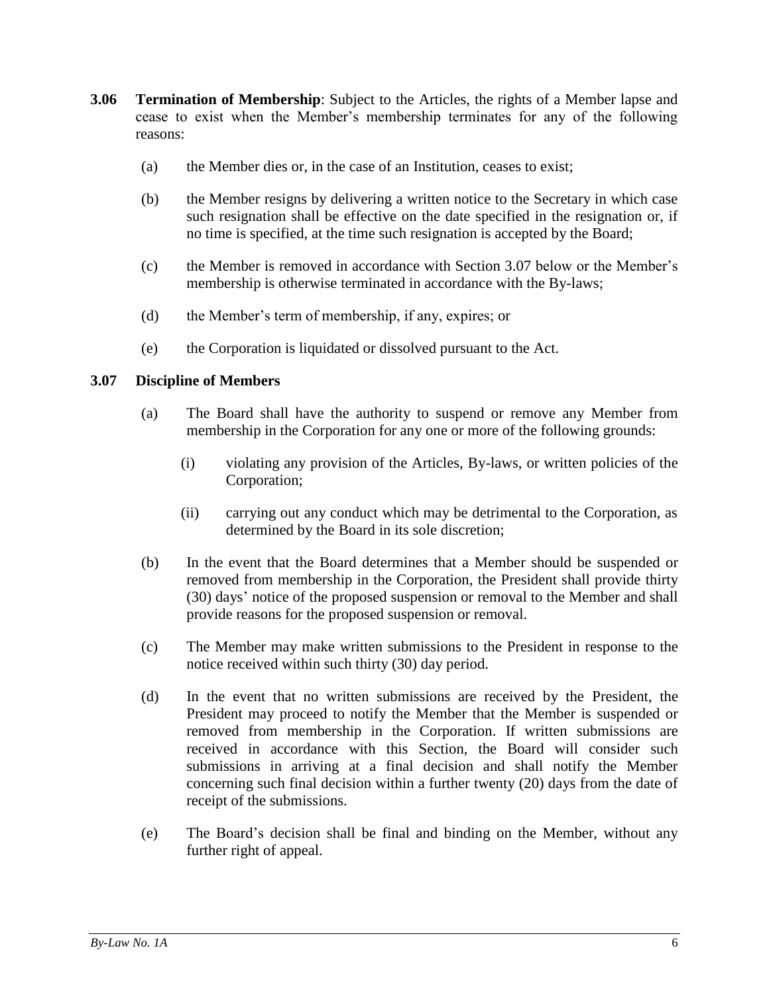- <span id="page-9-0"></span>**3.06 Termination of Membership**: Subject to the Articles, the rights of a Member lapse and cease to exist when the Member's membership terminates for any of the following reasons:
	- (a) the Member dies or, in the case of an Institution, ceases to exist;
	- (b) the Member resigns by delivering a written notice to the Secretary in which case such resignation shall be effective on the date specified in the resignation or, if no time is specified, at the time such resignation is accepted by the Board;
	- (c) the Member is removed in accordance with Section [3.07](#page-9-1) below or the Member's membership is otherwise terminated in accordance with the By-laws;
	- (d) the Member's term of membership, if any, expires; or
	- (e) the Corporation is liquidated or dissolved pursuant to the Act.

## <span id="page-9-1"></span>**3.07 Discipline of Members**

- (a) The Board shall have the authority to suspend or remove any Member from membership in the Corporation for any one or more of the following grounds:
	- (i) violating any provision of the Articles, By-laws, or written policies of the Corporation;
	- (ii) carrying out any conduct which may be detrimental to the Corporation, as determined by the Board in its sole discretion;
- (b) In the event that the Board determines that a Member should be suspended or removed from membership in the Corporation, the President shall provide thirty (30) days' notice of the proposed suspension or removal to the Member and shall provide reasons for the proposed suspension or removal.
- (c) The Member may make written submissions to the President in response to the notice received within such thirty (30) day period.
- (d) In the event that no written submissions are received by the President, the President may proceed to notify the Member that the Member is suspended or removed from membership in the Corporation. If written submissions are received in accordance with this Section, the Board will consider such submissions in arriving at a final decision and shall notify the Member concerning such final decision within a further twenty (20) days from the date of receipt of the submissions.
- (e) The Board's decision shall be final and binding on the Member, without any further right of appeal.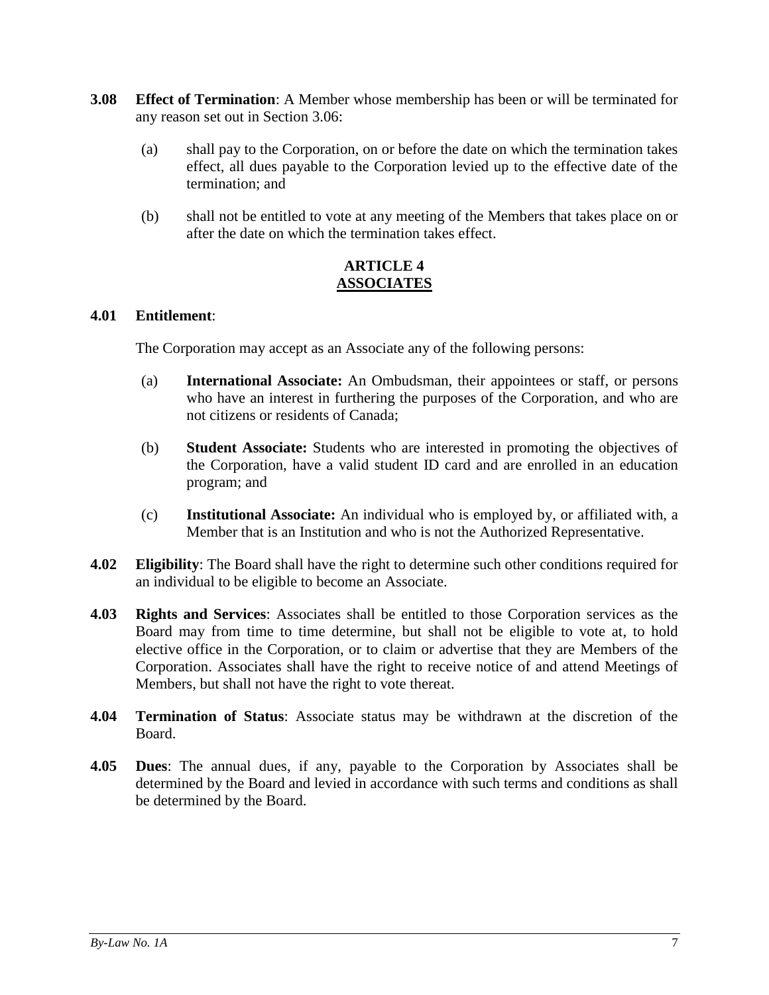- <span id="page-10-0"></span>**3.08 Effect of Termination**: A Member whose membership has been or will be terminated for any reason set out in Section [3.06:](#page-9-0)
	- (a) shall pay to the Corporation, on or before the date on which the termination takes effect, all dues payable to the Corporation levied up to the effective date of the termination; and
	- (b) shall not be entitled to vote at any meeting of the Members that takes place on or after the date on which the termination takes effect.

## **ARTICLE 4 ASSOCIATES**

## <span id="page-10-2"></span><span id="page-10-1"></span>**4.01 Entitlement**:

The Corporation may accept as an Associate any of the following persons:

- (a) **International Associate:** An Ombudsman, their appointees or staff, or persons who have an interest in furthering the purposes of the Corporation, and who are not citizens or residents of Canada;
- (b) **Student Associate:** Students who are interested in promoting the objectives of the Corporation, have a valid student ID card and are enrolled in an education program; and
- (c) **Institutional Associate:** An individual who is employed by, or affiliated with, a Member that is an Institution and who is not the Authorized Representative.
- <span id="page-10-3"></span>**4.02 Eligibility**: The Board shall have the right to determine such other conditions required for an individual to be eligible to become an Associate.
- <span id="page-10-4"></span>**4.03 Rights and Services**: Associates shall be entitled to those Corporation services as the Board may from time to time determine, but shall not be eligible to vote at, to hold elective office in the Corporation, or to claim or advertise that they are Members of the Corporation. Associates shall have the right to receive notice of and attend Meetings of Members, but shall not have the right to vote thereat.
- <span id="page-10-5"></span>**4.04 Termination of Status**: Associate status may be withdrawn at the discretion of the Board.
- <span id="page-10-6"></span>**4.05 Dues**: The annual dues, if any, payable to the Corporation by Associates shall be determined by the Board and levied in accordance with such terms and conditions as shall be determined by the Board.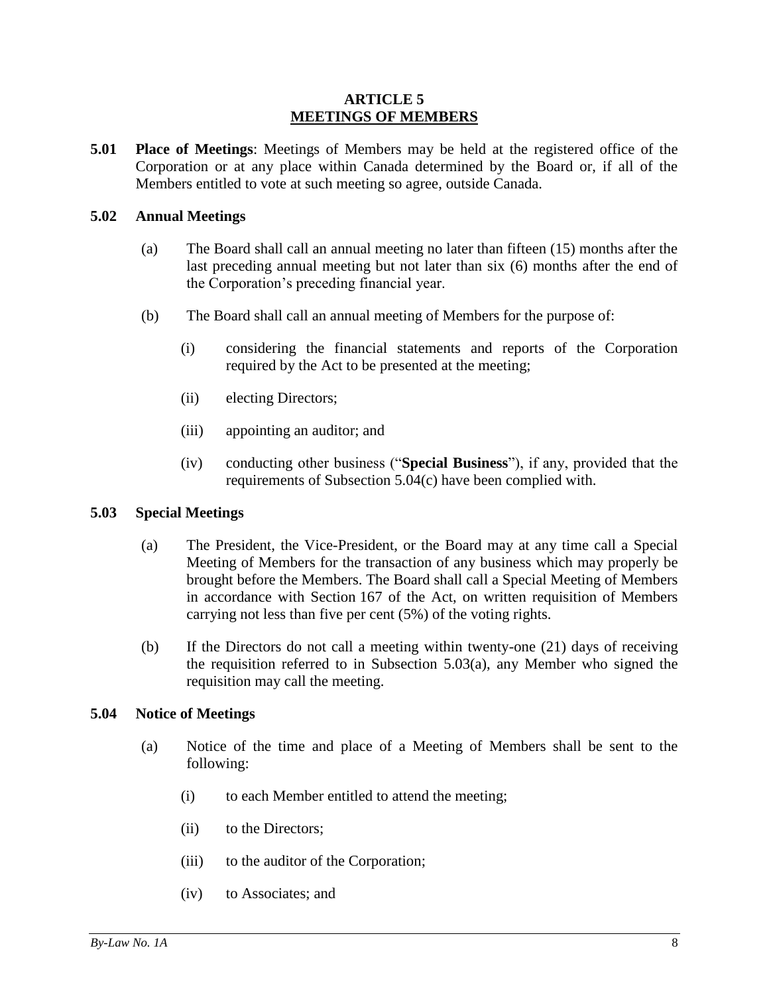#### **ARTICLE 5 MEETINGS OF MEMBERS**

<span id="page-11-1"></span><span id="page-11-0"></span>**5.01 Place of Meetings**: Meetings of Members may be held at the registered office of the Corporation or at any place within Canada determined by the Board or, if all of the Members entitled to vote at such meeting so agree, outside Canada.

#### <span id="page-11-2"></span>**5.02 Annual Meetings**

- (a) The Board shall call an annual meeting no later than fifteen (15) months after the last preceding annual meeting but not later than six (6) months after the end of the Corporation's preceding financial year.
- (b) The Board shall call an annual meeting of Members for the purpose of:
	- (i) considering the financial statements and reports of the Corporation required by the Act to be presented at the meeting;
	- (ii) electing Directors;
	- (iii) appointing an auditor; and
	- (iv) conducting other business ("**Special Business**"), if any, provided that the requirements of Subsection [5.04\(c\)](#page-12-3) have been complied with.

#### <span id="page-11-6"></span><span id="page-11-5"></span><span id="page-11-3"></span>**5.03 Special Meetings**

- (a) The President, the Vice-President, or the Board may at any time call a Special Meeting of Members for the transaction of any business which may properly be brought before the Members. The Board shall call a Special Meeting of Members in accordance with Section 167 of the Act, on written requisition of Members carrying not less than five per cent (5%) of the voting rights.
- (b) If the Directors do not call a meeting within twenty-one (21) days of receiving the requisition referred to in Subsection [5.03\(a\),](#page-11-6) any Member who signed the requisition may call the meeting.

#### <span id="page-11-4"></span>**5.04 Notice of Meetings**

- <span id="page-11-9"></span><span id="page-11-8"></span><span id="page-11-7"></span>(a) Notice of the time and place of a Meeting of Members shall be sent to the following:
	- (i) to each Member entitled to attend the meeting;
	- (ii) to the Directors;
	- (iii) to the auditor of the Corporation;
	- (iv) to Associates; and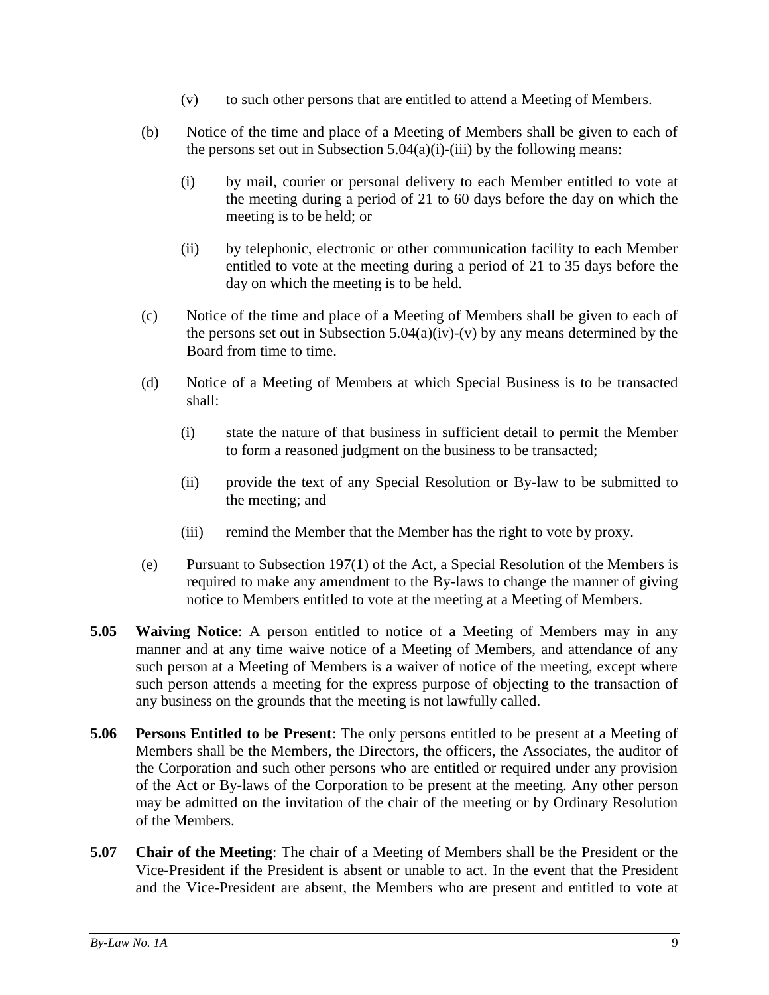- (v) to such other persons that are entitled to attend a Meeting of Members.
- <span id="page-12-4"></span>(b) Notice of the time and place of a Meeting of Members shall be given to each of the persons set out in Subsection  $5.04(a)(i)$ [-\(iii\)](#page-11-8) by the following means:
	- (i) by mail, courier or personal delivery to each Member entitled to vote at the meeting during a period of 21 to 60 days before the day on which the meeting is to be held; or
	- (ii) by telephonic, electronic or other communication facility to each Member entitled to vote at the meeting during a period of 21 to 35 days before the day on which the meeting is to be held.
- <span id="page-12-3"></span>(c) Notice of the time and place of a Meeting of Members shall be given to each of the persons set out in Subsection  $5.04(a)(iv)-(v)$  $5.04(a)(iv)-(v)$  by any means determined by the Board from time to time.
- (d) Notice of a Meeting of Members at which Special Business is to be transacted shall:
	- (i) state the nature of that business in sufficient detail to permit the Member to form a reasoned judgment on the business to be transacted;
	- (ii) provide the text of any Special Resolution or By-law to be submitted to the meeting; and
	- (iii) remind the Member that the Member has the right to vote by proxy.
- (e) Pursuant to Subsection 197(1) of the Act, a Special Resolution of the Members is required to make any amendment to the By-laws to change the manner of giving notice to Members entitled to vote at the meeting at a Meeting of Members.
- <span id="page-12-0"></span>**5.05 Waiving Notice**: A person entitled to notice of a Meeting of Members may in any manner and at any time waive notice of a Meeting of Members, and attendance of any such person at a Meeting of Members is a waiver of notice of the meeting, except where such person attends a meeting for the express purpose of objecting to the transaction of any business on the grounds that the meeting is not lawfully called.
- <span id="page-12-1"></span>**5.06 Persons Entitled to be Present**: The only persons entitled to be present at a Meeting of Members shall be the Members, the Directors, the officers, the Associates, the auditor of the Corporation and such other persons who are entitled or required under any provision of the Act or By-laws of the Corporation to be present at the meeting. Any other person may be admitted on the invitation of the chair of the meeting or by Ordinary Resolution of the Members.
- <span id="page-12-2"></span>**5.07 Chair of the Meeting**: The chair of a Meeting of Members shall be the President or the Vice-President if the President is absent or unable to act. In the event that the President and the Vice-President are absent, the Members who are present and entitled to vote at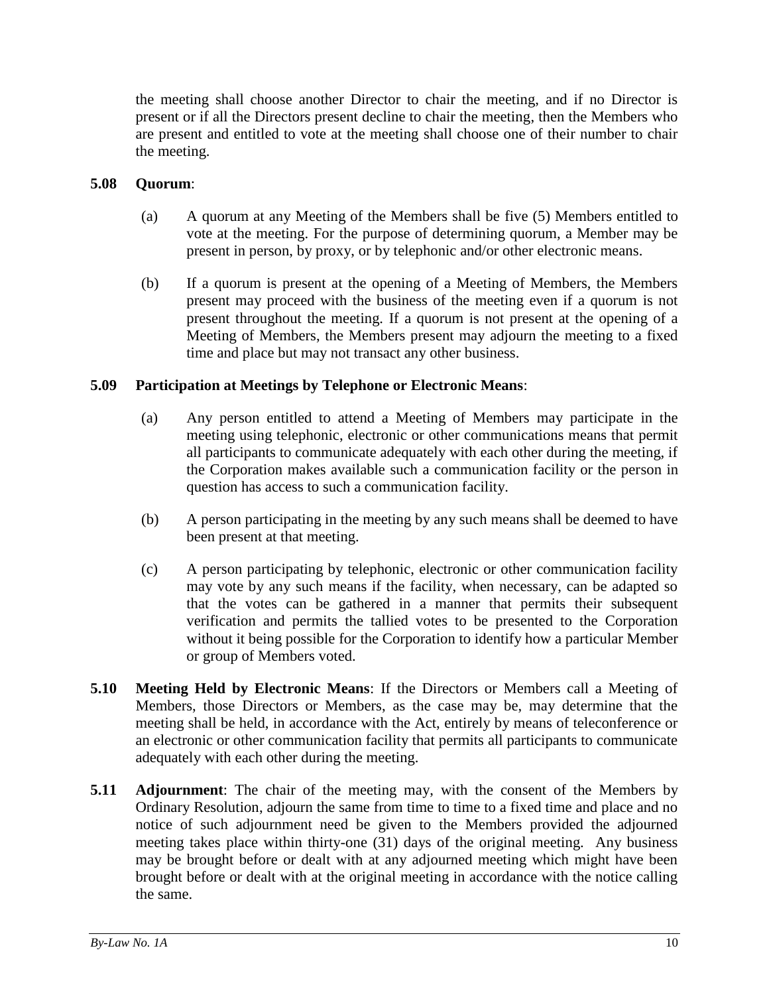the meeting shall choose another Director to chair the meeting, and if no Director is present or if all the Directors present decline to chair the meeting, then the Members who are present and entitled to vote at the meeting shall choose one of their number to chair the meeting.

## <span id="page-13-0"></span>**5.08 Quorum**:

- (a) A quorum at any Meeting of the Members shall be five (5) Members entitled to vote at the meeting. For the purpose of determining quorum, a Member may be present in person, by proxy, or by telephonic and/or other electronic means.
- (b) If a quorum is present at the opening of a Meeting of Members, the Members present may proceed with the business of the meeting even if a quorum is not present throughout the meeting. If a quorum is not present at the opening of a Meeting of Members, the Members present may adjourn the meeting to a fixed time and place but may not transact any other business.

## <span id="page-13-1"></span>**5.09 Participation at Meetings by Telephone or Electronic Means**:

- (a) Any person entitled to attend a Meeting of Members may participate in the meeting using telephonic, electronic or other communications means that permit all participants to communicate adequately with each other during the meeting, if the Corporation makes available such a communication facility or the person in question has access to such a communication facility.
- (b) A person participating in the meeting by any such means shall be deemed to have been present at that meeting.
- (c) A person participating by telephonic, electronic or other communication facility may vote by any such means if the facility, when necessary, can be adapted so that the votes can be gathered in a manner that permits their subsequent verification and permits the tallied votes to be presented to the Corporation without it being possible for the Corporation to identify how a particular Member or group of Members voted.
- <span id="page-13-2"></span>**5.10 Meeting Held by Electronic Means**: If the Directors or Members call a Meeting of Members, those Directors or Members, as the case may be, may determine that the meeting shall be held, in accordance with the Act, entirely by means of teleconference or an electronic or other communication facility that permits all participants to communicate adequately with each other during the meeting.
- <span id="page-13-3"></span>**5.11 Adjournment**: The chair of the meeting may, with the consent of the Members by Ordinary Resolution, adjourn the same from time to time to a fixed time and place and no notice of such adjournment need be given to the Members provided the adjourned meeting takes place within thirty-one (31) days of the original meeting. Any business may be brought before or dealt with at any adjourned meeting which might have been brought before or dealt with at the original meeting in accordance with the notice calling the same.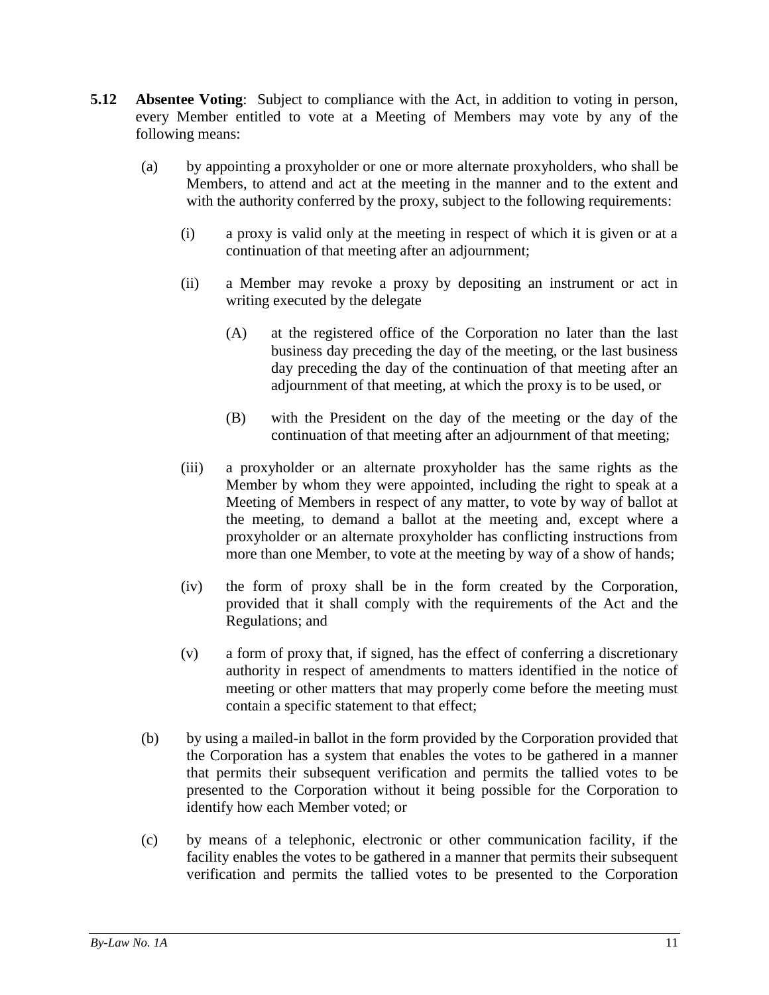- <span id="page-14-0"></span>**5.12 Absentee Voting**: Subject to compliance with the Act, in addition to voting in person, every Member entitled to vote at a Meeting of Members may vote by any of the following means:
	- (a) by appointing a proxyholder or one or more alternate proxyholders, who shall be Members, to attend and act at the meeting in the manner and to the extent and with the authority conferred by the proxy, subject to the following requirements:
		- (i) a proxy is valid only at the meeting in respect of which it is given or at a continuation of that meeting after an adjournment;
		- (ii) a Member may revoke a proxy by depositing an instrument or act in writing executed by the delegate
			- (A) at the registered office of the Corporation no later than the last business day preceding the day of the meeting, or the last business day preceding the day of the continuation of that meeting after an adjournment of that meeting, at which the proxy is to be used, or
			- (B) with the President on the day of the meeting or the day of the continuation of that meeting after an adjournment of that meeting;
		- (iii) a proxyholder or an alternate proxyholder has the same rights as the Member by whom they were appointed, including the right to speak at a Meeting of Members in respect of any matter, to vote by way of ballot at the meeting, to demand a ballot at the meeting and, except where a proxyholder or an alternate proxyholder has conflicting instructions from more than one Member, to vote at the meeting by way of a show of hands;
		- (iv) the form of proxy shall be in the form created by the Corporation, provided that it shall comply with the requirements of the Act and the Regulations; and
		- (v) a form of proxy that, if signed, has the effect of conferring a discretionary authority in respect of amendments to matters identified in the notice of meeting or other matters that may properly come before the meeting must contain a specific statement to that effect;
	- (b) by using a mailed-in ballot in the form provided by the Corporation provided that the Corporation has a system that enables the votes to be gathered in a manner that permits their subsequent verification and permits the tallied votes to be presented to the Corporation without it being possible for the Corporation to identify how each Member voted; or
	- (c) by means of a telephonic, electronic or other communication facility, if the facility enables the votes to be gathered in a manner that permits their subsequent verification and permits the tallied votes to be presented to the Corporation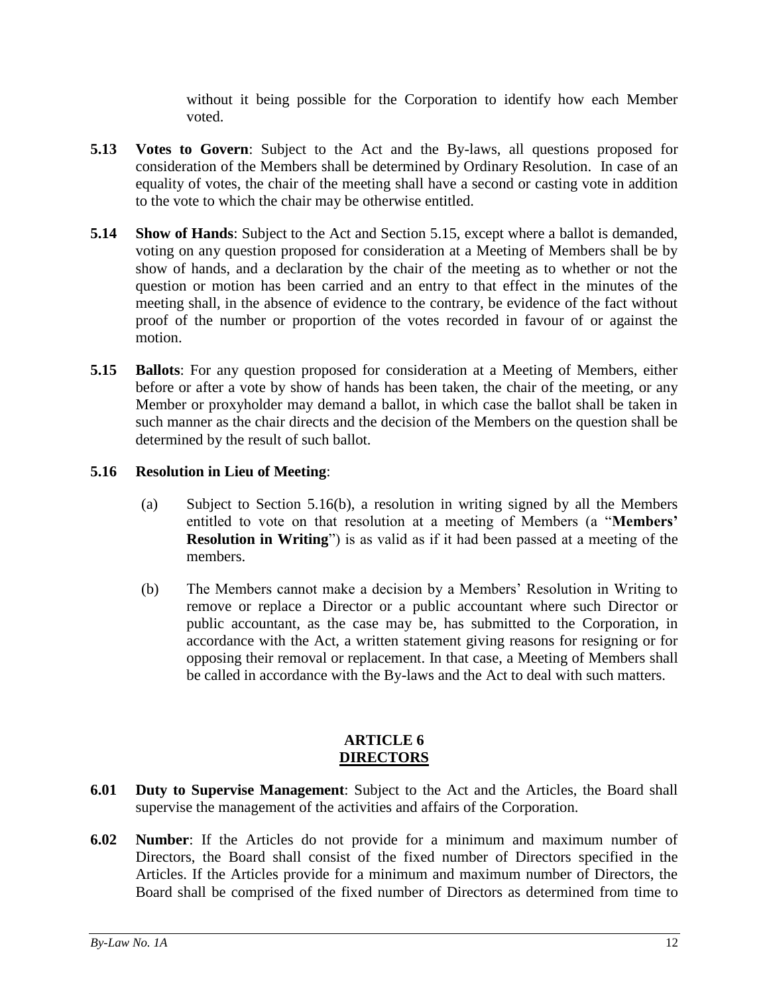without it being possible for the Corporation to identify how each Member voted.

- <span id="page-15-0"></span>**5.13 Votes to Govern**: Subject to the Act and the By-laws, all questions proposed for consideration of the Members shall be determined by Ordinary Resolution. In case of an equality of votes, the chair of the meeting shall have a second or casting vote in addition to the vote to which the chair may be otherwise entitled.
- <span id="page-15-1"></span>**5.14 Show of Hands**: Subject to the Act and Section [5.15,](#page-15-2) except where a ballot is demanded, voting on any question proposed for consideration at a Meeting of Members shall be by show of hands, and a declaration by the chair of the meeting as to whether or not the question or motion has been carried and an entry to that effect in the minutes of the meeting shall, in the absence of evidence to the contrary, be evidence of the fact without proof of the number or proportion of the votes recorded in favour of or against the motion.
- <span id="page-15-2"></span>**5.15 Ballots**: For any question proposed for consideration at a Meeting of Members, either before or after a vote by show of hands has been taken, the chair of the meeting, or any Member or proxyholder may demand a ballot, in which case the ballot shall be taken in such manner as the chair directs and the decision of the Members on the question shall be determined by the result of such ballot.

# <span id="page-15-3"></span>**5.16 Resolution in Lieu of Meeting**:

- (a) Subject to Section [5.16\(b\),](#page-15-7) a resolution in writing signed by all the Members entitled to vote on that resolution at a meeting of Members (a "**Members' Resolution in Writing**") is as valid as if it had been passed at a meeting of the members.
- <span id="page-15-7"></span>(b) The Members cannot make a decision by a Members' Resolution in Writing to remove or replace a Director or a public accountant where such Director or public accountant, as the case may be, has submitted to the Corporation, in accordance with the Act, a written statement giving reasons for resigning or for opposing their removal or replacement. In that case, a Meeting of Members shall be called in accordance with the By-laws and the Act to deal with such matters.

## **ARTICLE 6 DIRECTORS**

- <span id="page-15-5"></span><span id="page-15-4"></span>**6.01 Duty to Supervise Management**: Subject to the Act and the Articles, the Board shall supervise the management of the activities and affairs of the Corporation.
- <span id="page-15-6"></span>**6.02 Number**: If the Articles do not provide for a minimum and maximum number of Directors, the Board shall consist of the fixed number of Directors specified in the Articles. If the Articles provide for a minimum and maximum number of Directors, the Board shall be comprised of the fixed number of Directors as determined from time to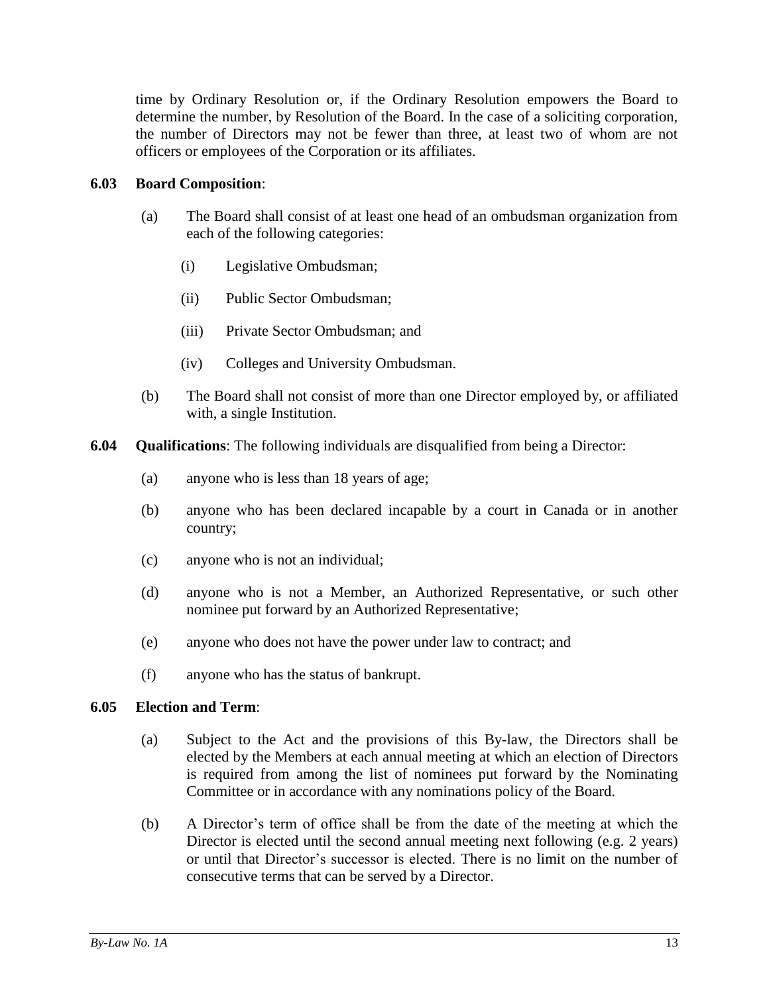time by Ordinary Resolution or, if the Ordinary Resolution empowers the Board to determine the number, by Resolution of the Board. In the case of a soliciting corporation, the number of Directors may not be fewer than three, at least two of whom are not officers or employees of the Corporation or its affiliates.

## <span id="page-16-0"></span>**6.03 Board Composition**:

- (a) The Board shall consist of at least one head of an ombudsman organization from each of the following categories:
	- (i) Legislative Ombudsman;
	- (ii) Public Sector Ombudsman;
	- (iii) Private Sector Ombudsman; and
	- (iv) Colleges and University Ombudsman.
- (b) The Board shall not consist of more than one Director employed by, or affiliated with, a single Institution.
- <span id="page-16-1"></span>**6.04 Qualifications**: The following individuals are disqualified from being a Director:
	- (a) anyone who is less than 18 years of age;
	- (b) anyone who has been declared incapable by a court in Canada or in another country;
	- (c) anyone who is not an individual;
	- (d) anyone who is not a Member, an Authorized Representative, or such other nominee put forward by an Authorized Representative;
	- (e) anyone who does not have the power under law to contract; and
	- (f) anyone who has the status of bankrupt.

#### <span id="page-16-2"></span>**6.05 Election and Term**:

- (a) Subject to the Act and the provisions of this By-law, the Directors shall be elected by the Members at each annual meeting at which an election of Directors is required from among the list of nominees put forward by the Nominating Committee or in accordance with any nominations policy of the Board.
- (b) A Director's term of office shall be from the date of the meeting at which the Director is elected until the second annual meeting next following (e.g. 2 years) or until that Director's successor is elected. There is no limit on the number of consecutive terms that can be served by a Director.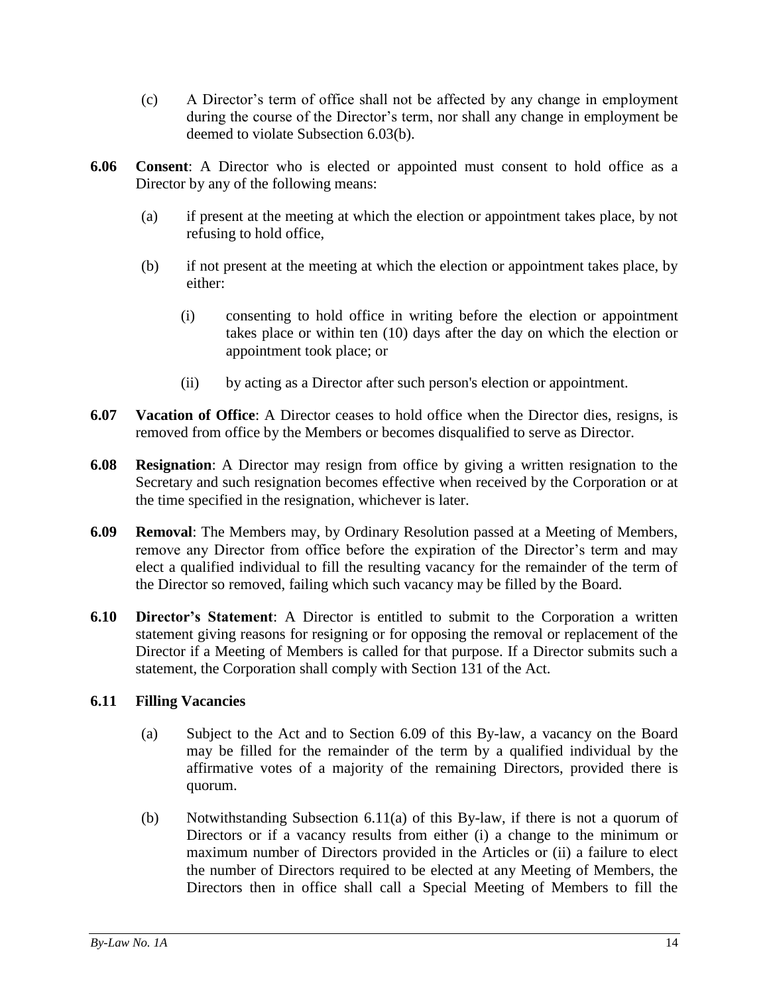- (c) A Director's term of office shall not be affected by any change in employment during the course of the Director's term, nor shall any change in employment be deemed to violate Subsection 6.03(b).
- <span id="page-17-0"></span>**6.06 Consent**: A Director who is elected or appointed must consent to hold office as a Director by any of the following means:
	- (a) if present at the meeting at which the election or appointment takes place, by not refusing to hold office,
	- (b) if not present at the meeting at which the election or appointment takes place, by either:
		- (i) consenting to hold office in writing before the election or appointment takes place or within ten (10) days after the day on which the election or appointment took place; or
		- (ii) by acting as a Director after such person's election or appointment.
- <span id="page-17-1"></span>**6.07 Vacation of Office**: A Director ceases to hold office when the Director dies, resigns, is removed from office by the Members or becomes disqualified to serve as Director.
- <span id="page-17-2"></span>**6.08 Resignation**: A Director may resign from office by giving a written resignation to the Secretary and such resignation becomes effective when received by the Corporation or at the time specified in the resignation, whichever is later.
- <span id="page-17-3"></span>**6.09 Removal**: The Members may, by Ordinary Resolution passed at a Meeting of Members, remove any Director from office before the expiration of the Director's term and may elect a qualified individual to fill the resulting vacancy for the remainder of the term of the Director so removed, failing which such vacancy may be filled by the Board.
- <span id="page-17-4"></span>**6.10 Director's Statement**: A Director is entitled to submit to the Corporation a written statement giving reasons for resigning or for opposing the removal or replacement of the Director if a Meeting of Members is called for that purpose. If a Director submits such a statement, the Corporation shall comply with Section 131 of the Act.

# <span id="page-17-6"></span><span id="page-17-5"></span>**6.11 Filling Vacancies**

- (a) Subject to the Act and to Section [6.09](#page-17-3) of this By-law, a vacancy on the Board may be filled for the remainder of the term by a qualified individual by the affirmative votes of a majority of the remaining Directors, provided there is quorum.
- (b) Notwithstanding Subsection [6.11\(a\)](#page-17-6) of this By-law, if there is not a quorum of Directors or if a vacancy results from either (i) a change to the minimum or maximum number of Directors provided in the Articles or (ii) a failure to elect the number of Directors required to be elected at any Meeting of Members, the Directors then in office shall call a Special Meeting of Members to fill the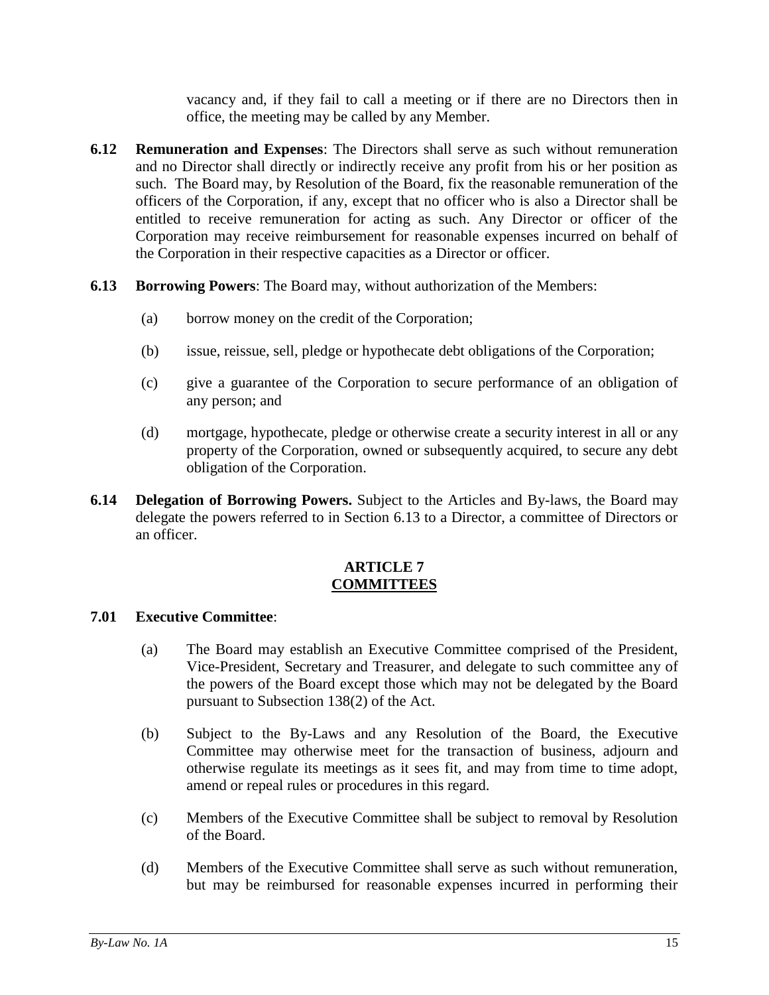vacancy and, if they fail to call a meeting or if there are no Directors then in office, the meeting may be called by any Member.

- <span id="page-18-0"></span>**6.12 Remuneration and Expenses**: The Directors shall serve as such without remuneration and no Director shall directly or indirectly receive any profit from his or her position as such. The Board may, by Resolution of the Board, fix the reasonable remuneration of the officers of the Corporation, if any, except that no officer who is also a Director shall be entitled to receive remuneration for acting as such. Any Director or officer of the Corporation may receive reimbursement for reasonable expenses incurred on behalf of the Corporation in their respective capacities as a Director or officer.
- <span id="page-18-1"></span>**6.13 Borrowing Powers**: The Board may, without authorization of the Members:
	- (a) borrow money on the credit of the Corporation;
	- (b) issue, reissue, sell, pledge or hypothecate debt obligations of the Corporation;
	- (c) give a guarantee of the Corporation to secure performance of an obligation of any person; and
	- (d) mortgage, hypothecate, pledge or otherwise create a security interest in all or any property of the Corporation, owned or subsequently acquired, to secure any debt obligation of the Corporation.
- <span id="page-18-2"></span>**6.14 Delegation of Borrowing Powers.** Subject to the Articles and By-laws, the Board may delegate the powers referred to in Section [6.13](#page-18-1) to a Director, a committee of Directors or an officer.

## **ARTICLE 7 COMMITTEES**

#### <span id="page-18-4"></span><span id="page-18-3"></span>**7.01 Executive Committee**:

- (a) The Board may establish an Executive Committee comprised of the President, Vice-President, Secretary and Treasurer, and delegate to such committee any of the powers of the Board except those which may not be delegated by the Board pursuant to Subsection 138(2) of the Act.
- (b) Subject to the By-Laws and any Resolution of the Board, the Executive Committee may otherwise meet for the transaction of business, adjourn and otherwise regulate its meetings as it sees fit, and may from time to time adopt, amend or repeal rules or procedures in this regard.
- (c) Members of the Executive Committee shall be subject to removal by Resolution of the Board.
- (d) Members of the Executive Committee shall serve as such without remuneration, but may be reimbursed for reasonable expenses incurred in performing their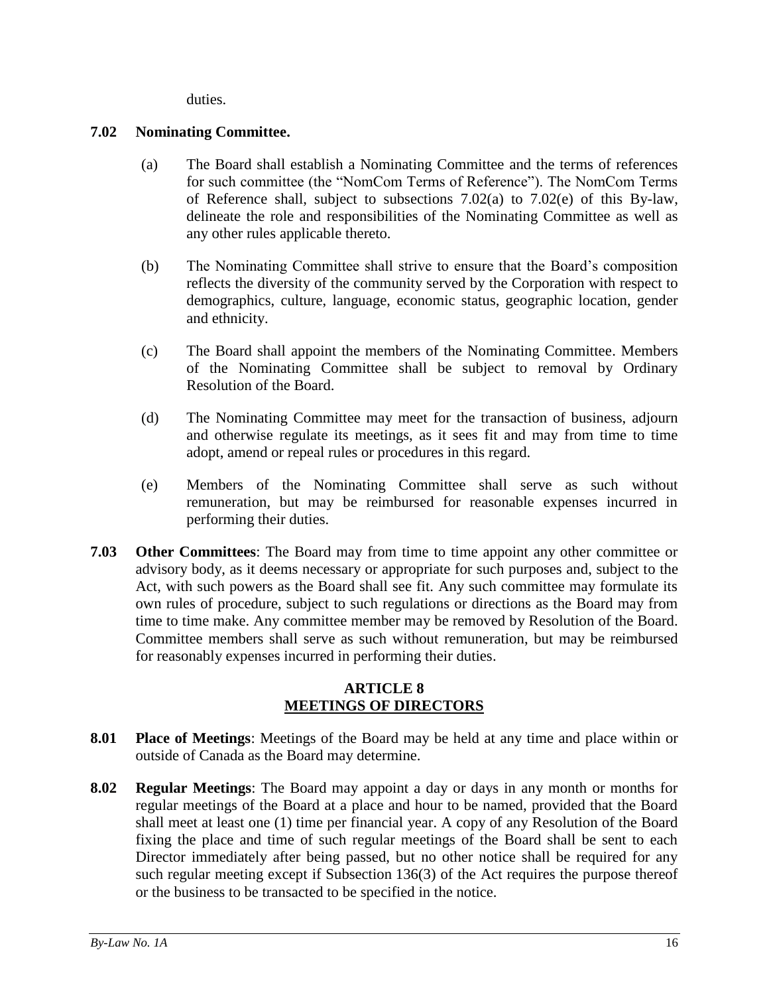duties.

# <span id="page-19-5"></span><span id="page-19-0"></span>**7.02 Nominating Committee.**

- (a) The Board shall establish a Nominating Committee and the terms of references for such committee (the "NomCom Terms of Reference"). The NomCom Terms of Reference shall, subject to subsections [7.02\(a\)](#page-19-5) to [7.02\(e\)](#page-19-6) of this By-law, delineate the role and responsibilities of the Nominating Committee as well as any other rules applicable thereto.
- (b) The Nominating Committee shall strive to ensure that the Board's composition reflects the diversity of the community served by the Corporation with respect to demographics, culture, language, economic status, geographic location, gender and ethnicity.
- (c) The Board shall appoint the members of the Nominating Committee. Members of the Nominating Committee shall be subject to removal by Ordinary Resolution of the Board.
- (d) The Nominating Committee may meet for the transaction of business, adjourn and otherwise regulate its meetings, as it sees fit and may from time to time adopt, amend or repeal rules or procedures in this regard.
- <span id="page-19-6"></span>(e) Members of the Nominating Committee shall serve as such without remuneration, but may be reimbursed for reasonable expenses incurred in performing their duties.
- <span id="page-19-1"></span>**7.03 Other Committees**: The Board may from time to time appoint any other committee or advisory body, as it deems necessary or appropriate for such purposes and, subject to the Act, with such powers as the Board shall see fit. Any such committee may formulate its own rules of procedure, subject to such regulations or directions as the Board may from time to time make. Any committee member may be removed by Resolution of the Board. Committee members shall serve as such without remuneration, but may be reimbursed for reasonably expenses incurred in performing their duties.

# **ARTICLE 8 MEETINGS OF DIRECTORS**

- <span id="page-19-3"></span><span id="page-19-2"></span>**8.01 Place of Meetings**: Meetings of the Board may be held at any time and place within or outside of Canada as the Board may determine.
- <span id="page-19-4"></span>**8.02 Regular Meetings**: The Board may appoint a day or days in any month or months for regular meetings of the Board at a place and hour to be named, provided that the Board shall meet at least one (1) time per financial year. A copy of any Resolution of the Board fixing the place and time of such regular meetings of the Board shall be sent to each Director immediately after being passed, but no other notice shall be required for any such regular meeting except if Subsection 136(3) of the Act requires the purpose thereof or the business to be transacted to be specified in the notice.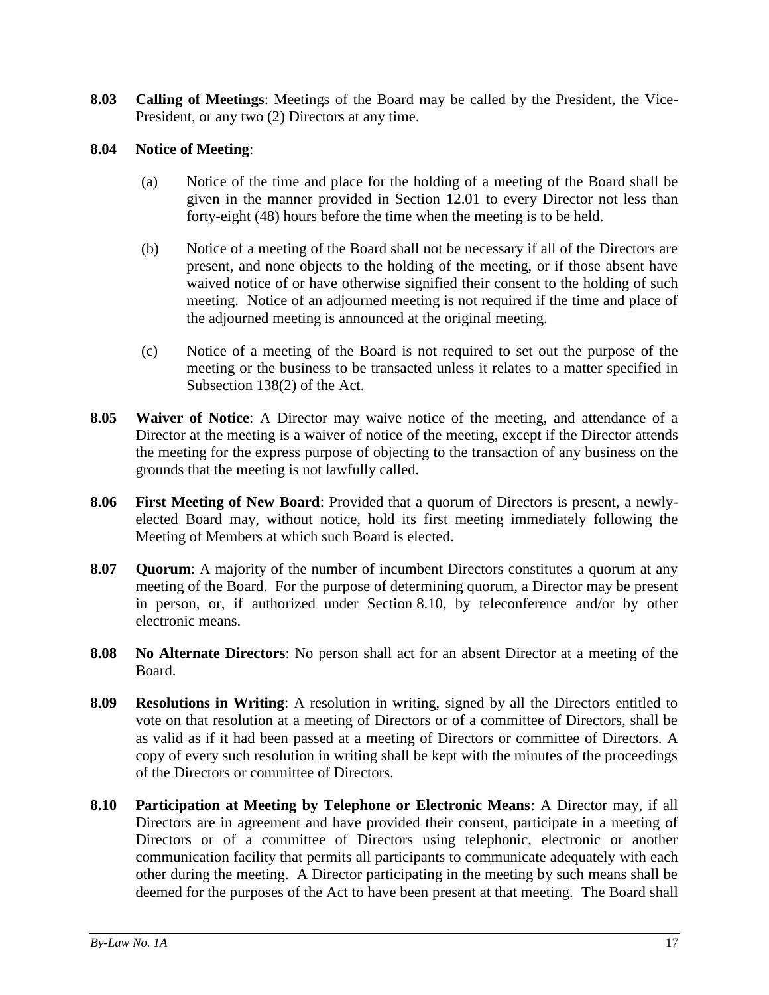<span id="page-20-0"></span>**8.03 Calling of Meetings**: Meetings of the Board may be called by the President, the Vice-President, or any two (2) Directors at any time.

## <span id="page-20-1"></span>**8.04 Notice of Meeting**:

- (a) Notice of the time and place for the holding of a meeting of the Board shall be given in the manner provided in Section [12.01](#page-26-2) to every Director not less than forty-eight (48) hours before the time when the meeting is to be held.
- (b) Notice of a meeting of the Board shall not be necessary if all of the Directors are present, and none objects to the holding of the meeting, or if those absent have waived notice of or have otherwise signified their consent to the holding of such meeting. Notice of an adjourned meeting is not required if the time and place of the adjourned meeting is announced at the original meeting.
- (c) Notice of a meeting of the Board is not required to set out the purpose of the meeting or the business to be transacted unless it relates to a matter specified in Subsection 138(2) of the Act.
- <span id="page-20-2"></span>**8.05 Waiver of Notice**: A Director may waive notice of the meeting, and attendance of a Director at the meeting is a waiver of notice of the meeting, except if the Director attends the meeting for the express purpose of objecting to the transaction of any business on the grounds that the meeting is not lawfully called.
- <span id="page-20-3"></span>**8.06 First Meeting of New Board**: Provided that a quorum of Directors is present, a newlyelected Board may, without notice, hold its first meeting immediately following the Meeting of Members at which such Board is elected.
- <span id="page-20-4"></span>**8.07 Quorum**: A majority of the number of incumbent Directors constitutes a quorum at any meeting of the Board. For the purpose of determining quorum, a Director may be present in person, or, if authorized under Section [8.10,](#page-20-7) by teleconference and/or by other electronic means.
- <span id="page-20-5"></span>**8.08 No Alternate Directors**: No person shall act for an absent Director at a meeting of the Board.
- <span id="page-20-6"></span>**8.09 Resolutions in Writing**: A resolution in writing, signed by all the Directors entitled to vote on that resolution at a meeting of Directors or of a committee of Directors, shall be as valid as if it had been passed at a meeting of Directors or committee of Directors. A copy of every such resolution in writing shall be kept with the minutes of the proceedings of the Directors or committee of Directors.
- <span id="page-20-7"></span>**8.10 Participation at Meeting by Telephone or Electronic Means**: A Director may, if all Directors are in agreement and have provided their consent, participate in a meeting of Directors or of a committee of Directors using telephonic, electronic or another communication facility that permits all participants to communicate adequately with each other during the meeting. A Director participating in the meeting by such means shall be deemed for the purposes of the Act to have been present at that meeting. The Board shall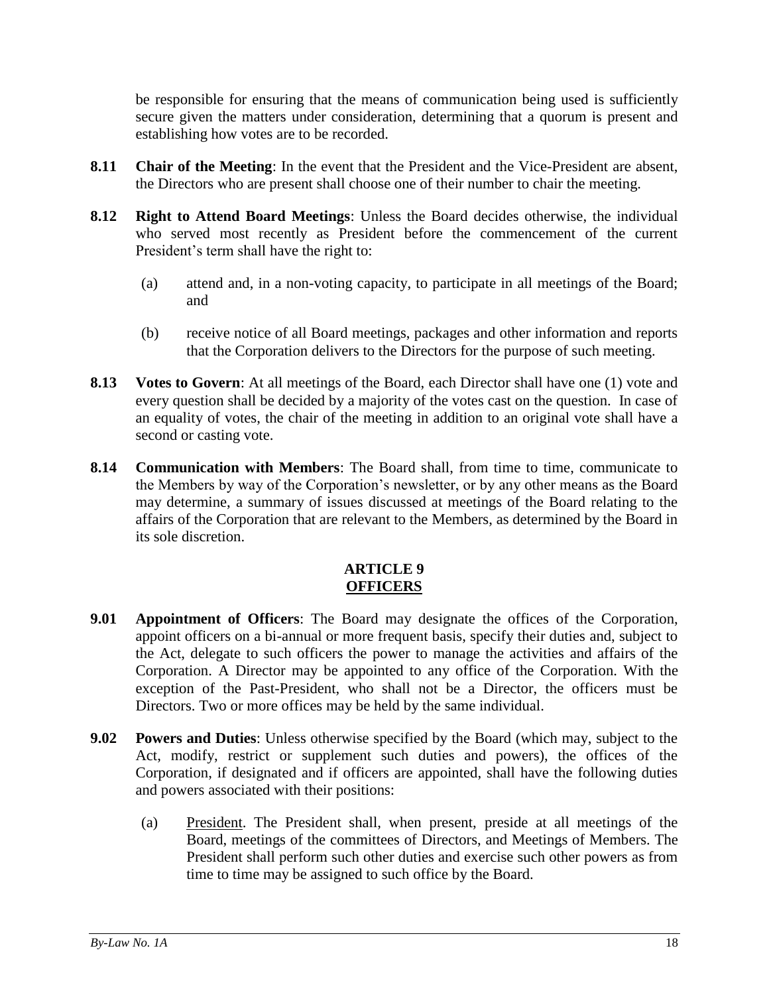be responsible for ensuring that the means of communication being used is sufficiently secure given the matters under consideration, determining that a quorum is present and establishing how votes are to be recorded.

- <span id="page-21-0"></span>**8.11 Chair of the Meeting**: In the event that the President and the Vice-President are absent, the Directors who are present shall choose one of their number to chair the meeting.
- <span id="page-21-1"></span>**8.12 Right to Attend Board Meetings**: Unless the Board decides otherwise, the individual who served most recently as President before the commencement of the current President's term shall have the right to:
	- (a) attend and, in a non-voting capacity, to participate in all meetings of the Board; and
	- (b) receive notice of all Board meetings, packages and other information and reports that the Corporation delivers to the Directors for the purpose of such meeting.
- <span id="page-21-2"></span>**8.13 Votes to Govern**: At all meetings of the Board, each Director shall have one (1) vote and every question shall be decided by a majority of the votes cast on the question. In case of an equality of votes, the chair of the meeting in addition to an original vote shall have a second or casting vote.
- <span id="page-21-3"></span>**8.14 Communication with Members**: The Board shall, from time to time, communicate to the Members by way of the Corporation's newsletter, or by any other means as the Board may determine, a summary of issues discussed at meetings of the Board relating to the affairs of the Corporation that are relevant to the Members, as determined by the Board in its sole discretion.

## **ARTICLE 9 OFFICERS**

- <span id="page-21-5"></span><span id="page-21-4"></span>**9.01 Appointment of Officers**: The Board may designate the offices of the Corporation, appoint officers on a bi-annual or more frequent basis, specify their duties and, subject to the Act, delegate to such officers the power to manage the activities and affairs of the Corporation. A Director may be appointed to any office of the Corporation. With the exception of the Past-President, who shall not be a Director, the officers must be Directors. Two or more offices may be held by the same individual.
- <span id="page-21-6"></span>**9.02 Powers and Duties**: Unless otherwise specified by the Board (which may, subject to the Act, modify, restrict or supplement such duties and powers), the offices of the Corporation, if designated and if officers are appointed, shall have the following duties and powers associated with their positions:
	- (a) President. The President shall, when present, preside at all meetings of the Board, meetings of the committees of Directors, and Meetings of Members. The President shall perform such other duties and exercise such other powers as from time to time may be assigned to such office by the Board.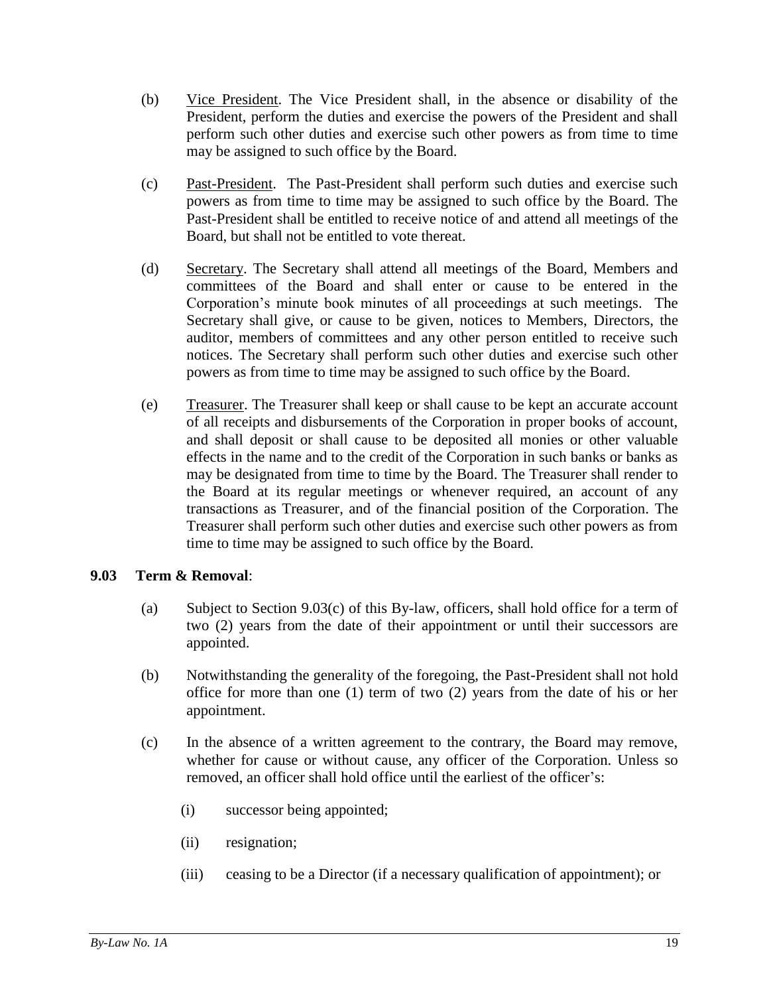- (b) Vice President. The Vice President shall, in the absence or disability of the President, perform the duties and exercise the powers of the President and shall perform such other duties and exercise such other powers as from time to time may be assigned to such office by the Board.
- (c) Past-President. The Past-President shall perform such duties and exercise such powers as from time to time may be assigned to such office by the Board. The Past-President shall be entitled to receive notice of and attend all meetings of the Board, but shall not be entitled to vote thereat.
- (d) Secretary. The Secretary shall attend all meetings of the Board, Members and committees of the Board and shall enter or cause to be entered in the Corporation's minute book minutes of all proceedings at such meetings. The Secretary shall give, or cause to be given, notices to Members, Directors, the auditor, members of committees and any other person entitled to receive such notices. The Secretary shall perform such other duties and exercise such other powers as from time to time may be assigned to such office by the Board.
- (e) Treasurer. The Treasurer shall keep or shall cause to be kept an accurate account of all receipts and disbursements of the Corporation in proper books of account, and shall deposit or shall cause to be deposited all monies or other valuable effects in the name and to the credit of the Corporation in such banks or banks as may be designated from time to time by the Board. The Treasurer shall render to the Board at its regular meetings or whenever required, an account of any transactions as Treasurer, and of the financial position of the Corporation. The Treasurer shall perform such other duties and exercise such other powers as from time to time may be assigned to such office by the Board.

# <span id="page-22-0"></span>**9.03 Term & Removal**:

- (a) Subject to Section [9.03\(c\)](#page-22-1) of this By-law, officers, shall hold office for a term of two (2) years from the date of their appointment or until their successors are appointed.
- (b) Notwithstanding the generality of the foregoing, the Past-President shall not hold office for more than one (1) term of two (2) years from the date of his or her appointment.
- <span id="page-22-1"></span>(c) In the absence of a written agreement to the contrary, the Board may remove, whether for cause or without cause, any officer of the Corporation. Unless so removed, an officer shall hold office until the earliest of the officer's:
	- (i) successor being appointed;
	- (ii) resignation;
	- (iii) ceasing to be a Director (if a necessary qualification of appointment); or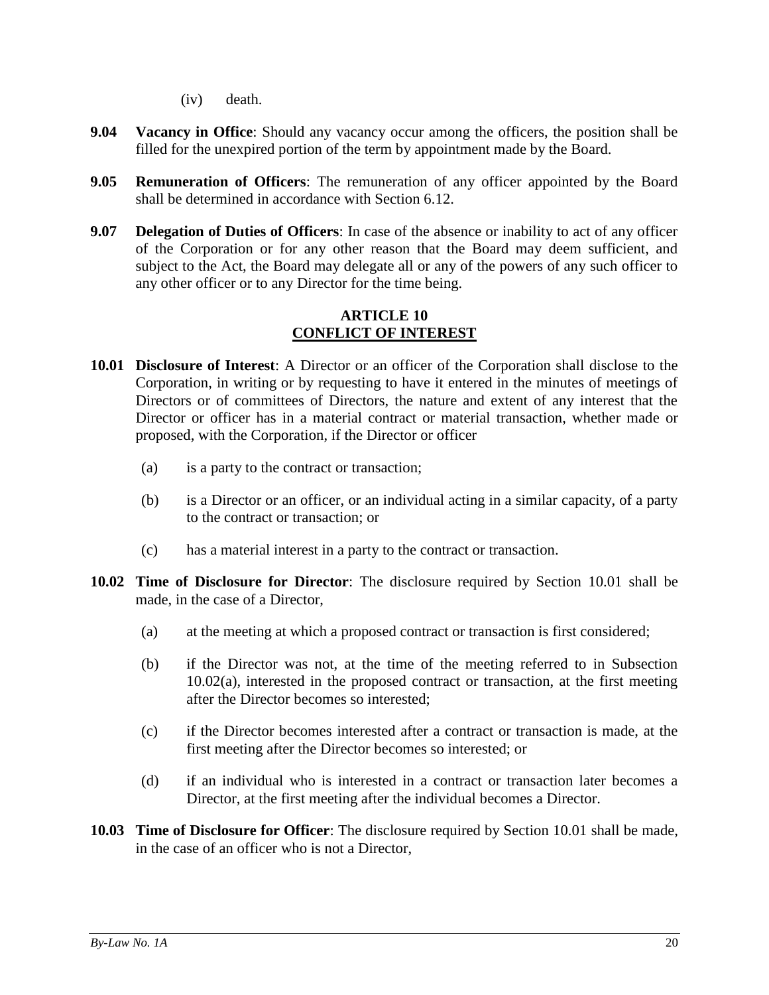(iv) death.

- <span id="page-23-0"></span>**9.04 Vacancy in Office**: Should any vacancy occur among the officers, the position shall be filled for the unexpired portion of the term by appointment made by the Board.
- <span id="page-23-1"></span>**9.05 Remuneration of Officers**: The remuneration of any officer appointed by the Board shall be determined in accordance with Section [6.12.](#page-18-0)
- **9.07 Delegation of Duties of Officers**: In case of the absence or inability to act of any officer of the Corporation or for any other reason that the Board may deem sufficient, and subject to the Act, the Board may delegate all or any of the powers of any such officer to any other officer or to any Director for the time being.

#### **ARTICLE 10 CONFLICT OF INTEREST**

- <span id="page-23-3"></span><span id="page-23-2"></span>**10.01 Disclosure of Interest**: A Director or an officer of the Corporation shall disclose to the Corporation, in writing or by requesting to have it entered in the minutes of meetings of Directors or of committees of Directors, the nature and extent of any interest that the Director or officer has in a material contract or material transaction, whether made or proposed, with the Corporation, if the Director or officer
	- (a) is a party to the contract or transaction;
	- (b) is a Director or an officer, or an individual acting in a similar capacity, of a party to the contract or transaction; or
	- (c) has a material interest in a party to the contract or transaction.
- <span id="page-23-8"></span><span id="page-23-7"></span><span id="page-23-6"></span><span id="page-23-4"></span>**10.02 Time of Disclosure for Director**: The disclosure required by Section [10.01](#page-23-3) shall be made, in the case of a Director,
	- (a) at the meeting at which a proposed contract or transaction is first considered;
	- (b) if the Director was not, at the time of the meeting referred to in Subsection [10.02\(a\),](#page-23-6) interested in the proposed contract or transaction, at the first meeting after the Director becomes so interested;
	- (c) if the Director becomes interested after a contract or transaction is made, at the first meeting after the Director becomes so interested; or
	- (d) if an individual who is interested in a contract or transaction later becomes a Director, at the first meeting after the individual becomes a Director.
- <span id="page-23-5"></span>**10.03 Time of Disclosure for Officer**: The disclosure required by Section [10.01](#page-23-3) shall be made, in the case of an officer who is not a Director,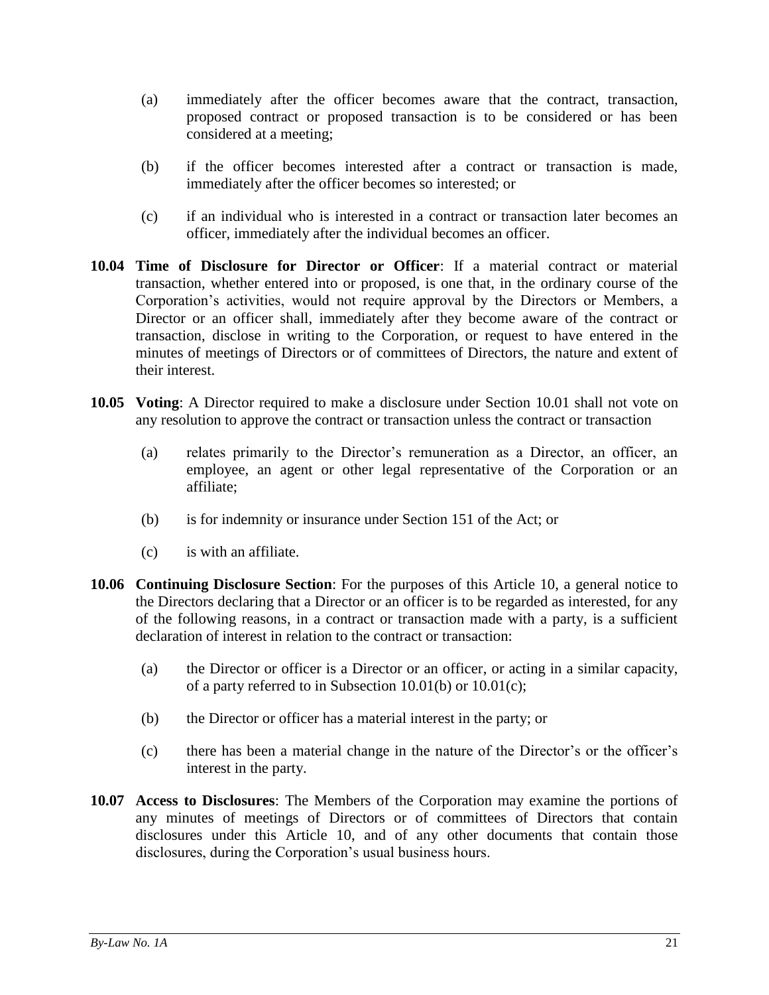- (a) immediately after the officer becomes aware that the contract, transaction, proposed contract or proposed transaction is to be considered or has been considered at a meeting;
- (b) if the officer becomes interested after a contract or transaction is made, immediately after the officer becomes so interested; or
- (c) if an individual who is interested in a contract or transaction later becomes an officer, immediately after the individual becomes an officer.
- <span id="page-24-0"></span>**10.04 Time of Disclosure for Director or Officer**: If a material contract or material transaction, whether entered into or proposed, is one that, in the ordinary course of the Corporation's activities, would not require approval by the Directors or Members, a Director or an officer shall, immediately after they become aware of the contract or transaction, disclose in writing to the Corporation, or request to have entered in the minutes of meetings of Directors or of committees of Directors, the nature and extent of their interest.
- <span id="page-24-1"></span>**10.05 Voting**: A Director required to make a disclosure under Section [10.01](#page-23-3) shall not vote on any resolution to approve the contract or transaction unless the contract or transaction
	- (a) relates primarily to the Director's remuneration as a Director, an officer, an employee, an agent or other legal representative of the Corporation or an affiliate;
	- (b) is for indemnity or insurance under Section 151 of the Act; or
	- (c) is with an affiliate.
- <span id="page-24-2"></span>**10.06 Continuing Disclosure Section**: For the purposes of this [Article 10,](#page-23-2) a general notice to the Directors declaring that a Director or an officer is to be regarded as interested, for any of the following reasons, in a contract or transaction made with a party, is a sufficient declaration of interest in relation to the contract or transaction:
	- (a) the Director or officer is a Director or an officer, or acting in a similar capacity, of a party referred to in Subsection [10.01\(b\)](#page-23-7) or [10.01\(c\);](#page-23-8)
	- (b) the Director or officer has a material interest in the party; or
	- (c) there has been a material change in the nature of the Director's or the officer's interest in the party.
- <span id="page-24-3"></span>**10.07 Access to Disclosures**: The Members of the Corporation may examine the portions of any minutes of meetings of Directors or of committees of Directors that contain disclosures under this [Article 10,](#page-23-2) and of any other documents that contain those disclosures, during the Corporation's usual business hours.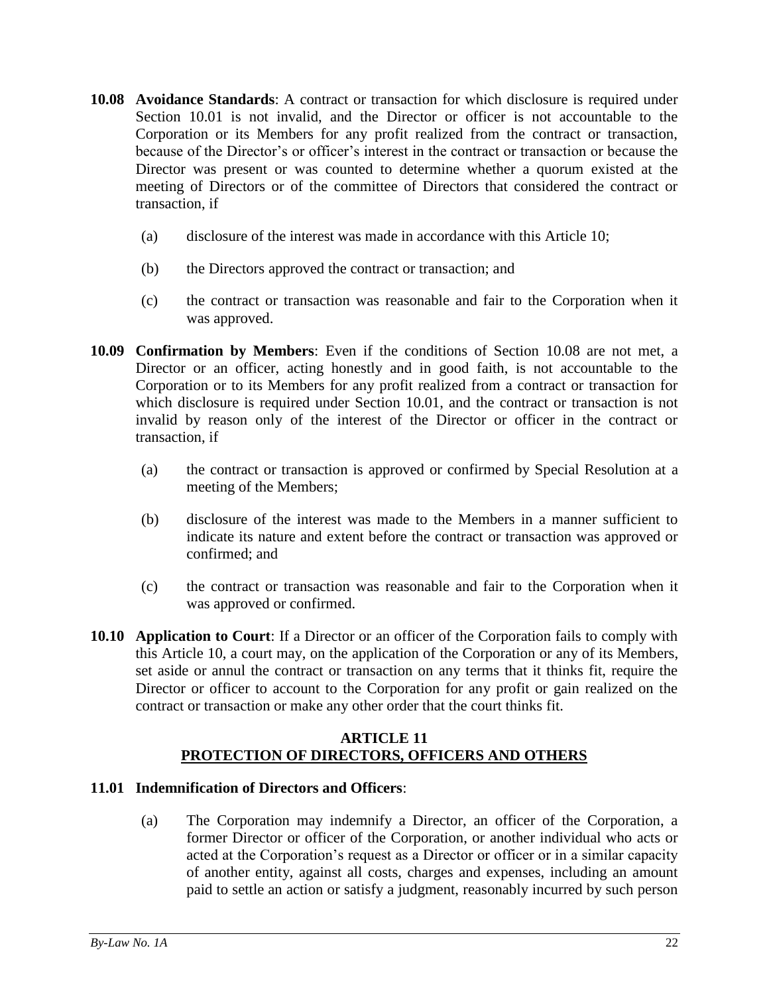- <span id="page-25-0"></span>**10.08 Avoidance Standards**: A contract or transaction for which disclosure is required under Section [10.01](#page-23-3) is not invalid, and the Director or officer is not accountable to the Corporation or its Members for any profit realized from the contract or transaction, because of the Director's or officer's interest in the contract or transaction or because the Director was present or was counted to determine whether a quorum existed at the meeting of Directors or of the committee of Directors that considered the contract or transaction, if
	- (a) disclosure of the interest was made in accordance with this [Article 10;](#page-23-2)
	- (b) the Directors approved the contract or transaction; and
	- (c) the contract or transaction was reasonable and fair to the Corporation when it was approved.
- <span id="page-25-1"></span>**10.09 Confirmation by Members**: Even if the conditions of Section [10.08](#page-25-0) are not met, a Director or an officer, acting honestly and in good faith, is not accountable to the Corporation or to its Members for any profit realized from a contract or transaction for which disclosure is required under Section [10.01,](#page-23-3) and the contract or transaction is not invalid by reason only of the interest of the Director or officer in the contract or transaction, if
	- (a) the contract or transaction is approved or confirmed by Special Resolution at a meeting of the Members;
	- (b) disclosure of the interest was made to the Members in a manner sufficient to indicate its nature and extent before the contract or transaction was approved or confirmed; and
	- (c) the contract or transaction was reasonable and fair to the Corporation when it was approved or confirmed.
- <span id="page-25-2"></span>**10.10 Application to Court**: If a Director or an officer of the Corporation fails to comply with this [Article 10,](#page-23-2) a court may, on the application of the Corporation or any of its Members, set aside or annul the contract or transaction on any terms that it thinks fit, require the Director or officer to account to the Corporation for any profit or gain realized on the contract or transaction or make any other order that the court thinks fit.

# **ARTICLE 11 PROTECTION OF DIRECTORS, OFFICERS AND OTHERS**

#### <span id="page-25-4"></span><span id="page-25-3"></span>**11.01 Indemnification of Directors and Officers**:

(a) The Corporation may indemnify a Director, an officer of the Corporation, a former Director or officer of the Corporation, or another individual who acts or acted at the Corporation's request as a Director or officer or in a similar capacity of another entity, against all costs, charges and expenses, including an amount paid to settle an action or satisfy a judgment, reasonably incurred by such person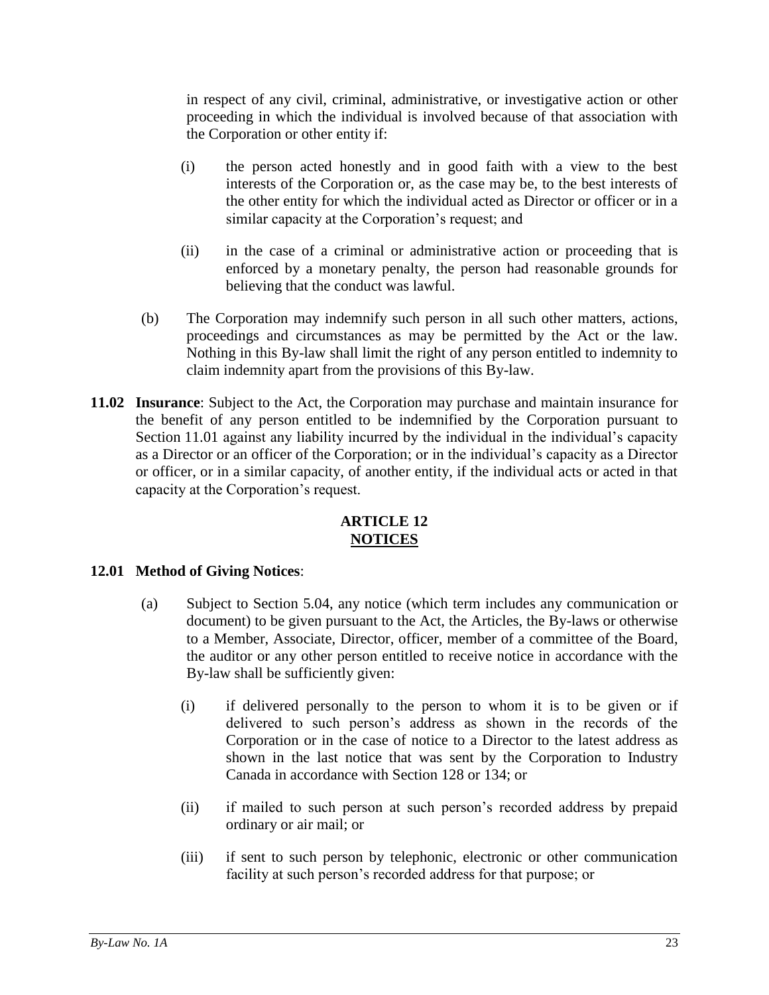in respect of any civil, criminal, administrative, or investigative action or other proceeding in which the individual is involved because of that association with the Corporation or other entity if:

- (i) the person acted honestly and in good faith with a view to the best interests of the Corporation or, as the case may be, to the best interests of the other entity for which the individual acted as Director or officer or in a similar capacity at the Corporation's request; and
- (ii) in the case of a criminal or administrative action or proceeding that is enforced by a monetary penalty, the person had reasonable grounds for believing that the conduct was lawful.
- (b) The Corporation may indemnify such person in all such other matters, actions, proceedings and circumstances as may be permitted by the Act or the law. Nothing in this By-law shall limit the right of any person entitled to indemnity to claim indemnity apart from the provisions of this By-law.
- <span id="page-26-0"></span>**11.02 Insurance**: Subject to the Act, the Corporation may purchase and maintain insurance for the benefit of any person entitled to be indemnified by the Corporation pursuant to Section [11.01](#page-25-4) against any liability incurred by the individual in the individual's capacity as a Director or an officer of the Corporation; or in the individual's capacity as a Director or officer, or in a similar capacity, of another entity, if the individual acts or acted in that capacity at the Corporation's request.

# **ARTICLE 12 NOTICES**

# <span id="page-26-2"></span><span id="page-26-1"></span>**12.01 Method of Giving Notices**:

- (a) Subject to Section [5.04,](#page-11-4) any notice (which term includes any communication or document) to be given pursuant to the Act, the Articles, the By-laws or otherwise to a Member, Associate, Director, officer, member of a committee of the Board, the auditor or any other person entitled to receive notice in accordance with the By-law shall be sufficiently given:
	- (i) if delivered personally to the person to whom it is to be given or if delivered to such person's address as shown in the records of the Corporation or in the case of notice to a Director to the latest address as shown in the last notice that was sent by the Corporation to Industry Canada in accordance with Section 128 or 134; or
	- (ii) if mailed to such person at such person's recorded address by prepaid ordinary or air mail; or
	- (iii) if sent to such person by telephonic, electronic or other communication facility at such person's recorded address for that purpose; or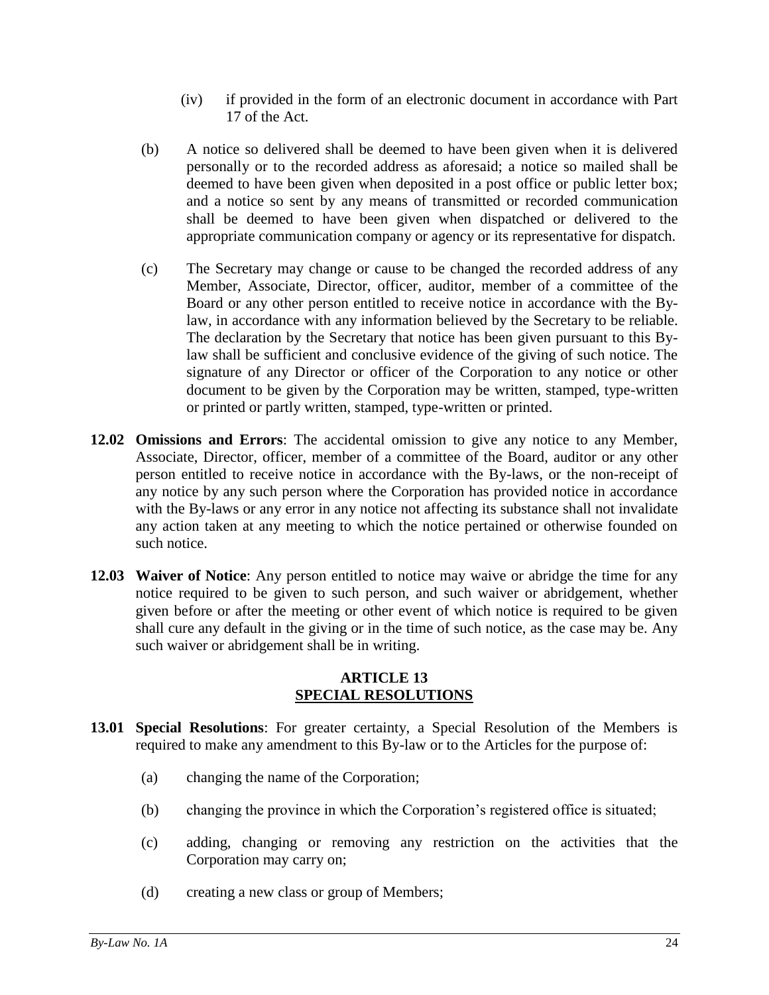- (iv) if provided in the form of an electronic document in accordance with Part 17 of the Act.
- (b) A notice so delivered shall be deemed to have been given when it is delivered personally or to the recorded address as aforesaid; a notice so mailed shall be deemed to have been given when deposited in a post office or public letter box; and a notice so sent by any means of transmitted or recorded communication shall be deemed to have been given when dispatched or delivered to the appropriate communication company or agency or its representative for dispatch.
- (c) The Secretary may change or cause to be changed the recorded address of any Member, Associate, Director, officer, auditor, member of a committee of the Board or any other person entitled to receive notice in accordance with the Bylaw, in accordance with any information believed by the Secretary to be reliable. The declaration by the Secretary that notice has been given pursuant to this Bylaw shall be sufficient and conclusive evidence of the giving of such notice. The signature of any Director or officer of the Corporation to any notice or other document to be given by the Corporation may be written, stamped, type-written or printed or partly written, stamped, type-written or printed.
- <span id="page-27-0"></span>**12.02 Omissions and Errors**: The accidental omission to give any notice to any Member, Associate, Director, officer, member of a committee of the Board, auditor or any other person entitled to receive notice in accordance with the By-laws, or the non-receipt of any notice by any such person where the Corporation has provided notice in accordance with the By-laws or any error in any notice not affecting its substance shall not invalidate any action taken at any meeting to which the notice pertained or otherwise founded on such notice.
- <span id="page-27-1"></span>**12.03 Waiver of Notice**: Any person entitled to notice may waive or abridge the time for any notice required to be given to such person, and such waiver or abridgement, whether given before or after the meeting or other event of which notice is required to be given shall cure any default in the giving or in the time of such notice, as the case may be. Any such waiver or abridgement shall be in writing.

# **ARTICLE 13 SPECIAL RESOLUTIONS**

- <span id="page-27-3"></span><span id="page-27-2"></span>**13.01 Special Resolutions**: For greater certainty, a Special Resolution of the Members is required to make any amendment to this By-law or to the Articles for the purpose of:
	- (a) changing the name of the Corporation;
	- (b) changing the province in which the Corporation's registered office is situated;
	- (c) adding, changing or removing any restriction on the activities that the Corporation may carry on;
	- (d) creating a new class or group of Members;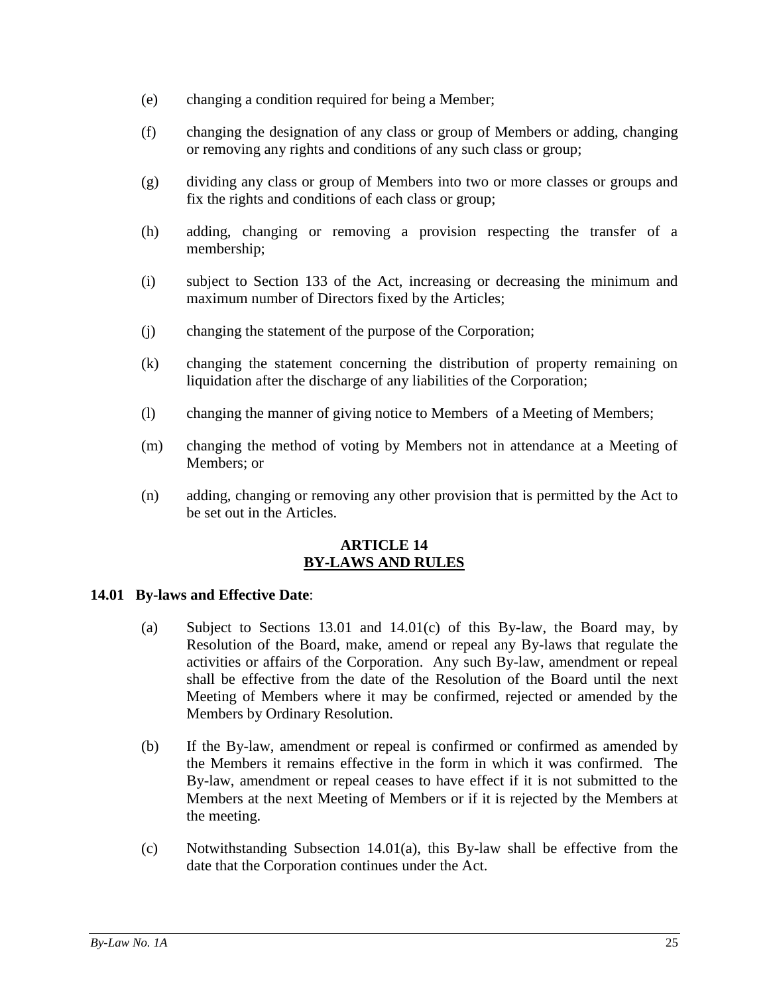- (e) changing a condition required for being a Member;
- (f) changing the designation of any class or group of Members or adding, changing or removing any rights and conditions of any such class or group;
- (g) dividing any class or group of Members into two or more classes or groups and fix the rights and conditions of each class or group;
- (h) adding, changing or removing a provision respecting the transfer of a membership;
- (i) subject to Section 133 of the Act, increasing or decreasing the minimum and maximum number of Directors fixed by the Articles;
- (j) changing the statement of the purpose of the Corporation;
- (k) changing the statement concerning the distribution of property remaining on liquidation after the discharge of any liabilities of the Corporation;
- (l) changing the manner of giving notice to Members of a Meeting of Members;
- (m) changing the method of voting by Members not in attendance at a Meeting of Members; or
- (n) adding, changing or removing any other provision that is permitted by the Act to be set out in the Articles.

## **ARTICLE 14 BY-LAWS AND RULES**

#### <span id="page-28-3"></span><span id="page-28-1"></span><span id="page-28-0"></span>**14.01 By-laws and Effective Date**:

- (a) Subject to Sections [13.01](#page-27-3) and [14.01\(c\)](#page-28-2) of this By-law, the Board may, by Resolution of the Board, make, amend or repeal any By-laws that regulate the activities or affairs of the Corporation. Any such By-law, amendment or repeal shall be effective from the date of the Resolution of the Board until the next Meeting of Members where it may be confirmed, rejected or amended by the Members by Ordinary Resolution.
- (b) If the By-law, amendment or repeal is confirmed or confirmed as amended by the Members it remains effective in the form in which it was confirmed. The By-law, amendment or repeal ceases to have effect if it is not submitted to the Members at the next Meeting of Members or if it is rejected by the Members at the meeting.
- <span id="page-28-2"></span>(c) Notwithstanding Subsection [14.01\(a\),](#page-28-3) this By-law shall be effective from the date that the Corporation continues under the Act.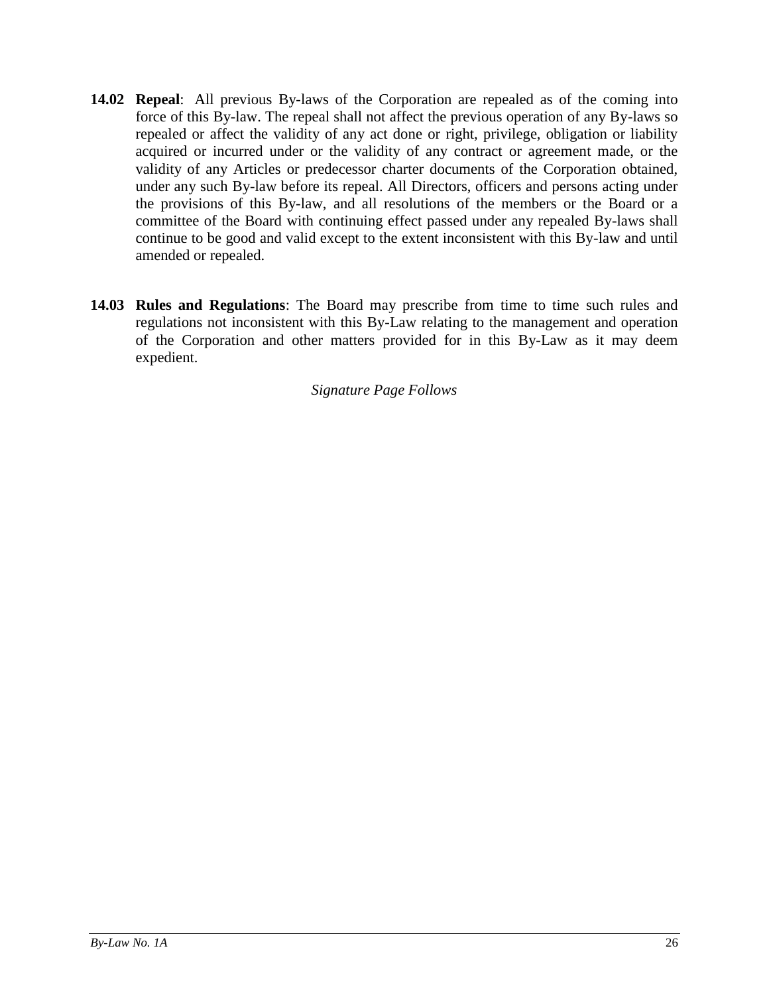- <span id="page-29-0"></span>**14.02 Repeal**: All previous By-laws of the Corporation are repealed as of the coming into force of this By-law. The repeal shall not affect the previous operation of any By-laws so repealed or affect the validity of any act done or right, privilege, obligation or liability acquired or incurred under or the validity of any contract or agreement made, or the validity of any Articles or predecessor charter documents of the Corporation obtained, under any such By-law before its repeal. All Directors, officers and persons acting under the provisions of this By-law, and all resolutions of the members or the Board or a committee of the Board with continuing effect passed under any repealed By-laws shall continue to be good and valid except to the extent inconsistent with this By-law and until amended or repealed.
- <span id="page-29-1"></span>**14.03 Rules and Regulations**: The Board may prescribe from time to time such rules and regulations not inconsistent with this By-Law relating to the management and operation of the Corporation and other matters provided for in this By-Law as it may deem expedient.

*Signature Page Follows*